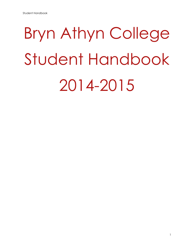# Bryn Athyn College Student Handbook 2014-2015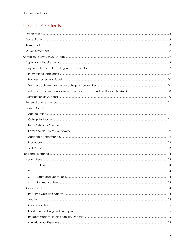# **Table of Contents**

| 1. |  |
|----|--|
| 2. |  |
| 3. |  |
| 4. |  |
|    |  |
|    |  |
|    |  |
|    |  |
|    |  |
|    |  |
|    |  |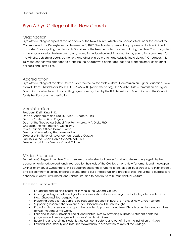# Bryn Athyn College of the New Church

## <span id="page-7-0"></span>**Organization**

Bryn Athyn College is a part of the Academy of the New Church, which was incorporated under the laws of the Commonwealth of Pennsylvania on November 3, 1877. The Academy serves the purposes set forth in Article II of its charter: "propagating the Heavenly Doctrines of the New Jerusalem and establishing the New Church signified in the Apocalypse by the New Jerusalem, promoting education in all its various forms, educating young men for the Ministry, publishing books, pamphlets, and other printed matter, and establishing a Library." On January 18, 1879, the charter was amended to authorize the Academy to confer degrees and grant diplomas as do other colleges and universities.

## <span id="page-7-1"></span>Accreditation

Bryn Athyn College of the New Church is accredited by the Middle States Commission on Higher Education, 3624 Market Street, Philadelphia, PA 19104. 267-284-5000 (www.msche.org). The Middle States Commission on Higher Education is an institutional accrediting agency recognized by the U.S. Secretary of Education and the Council for Higher Education Accreditation.

## <span id="page-7-2"></span>Administration

President, Kristin King, PhD. Dean of Academics and Faculty, Allen J. Bedford, PhD Dean of Students, Kiri K. Rogers Dean of the Theological School, The Rev. Andrew M.T. Dibb, PhD Chaplain, The Rev. Thane P. Glenn, PhD Chief Financial Officer, Daniel T. Allen Director of Admissions, Stephanie Walker Director of Institutional Advancement, Jessica Carswell Faculty Council Chair, Dan A Synnestvedt, PhD Swedenborg Library Director, Carroll Odhner

## <span id="page-7-3"></span>Mission Statement

Bryn Athyn College of the New Church serves as an intellectual center for all who desire to engage in higher education enriched, guided, and structured by the study of the Old Testament, New Testament, and theological writings of Emanuel Swedenborg. This education challenges students to develop spiritual purpose, to think broadly and critically from a variety of perspectives, and to build intellectual and practical skills. The ultimate purpose is to enhance students' civil, moral, and spiritual life, and to contribute to human spiritual welfare.

This mission is achieved by:

- Educating and training priests for service in the General Church.
- Offering undergraduate and graduate liberal arts and science programs that integrate academic and New Church spiritual perspectives.
- Preparing education students to be successful teachers in public, private, or New Church schools.
- Supporting research that advances secular and New Church thought.
- Providing library services to support the academic programs and New Church collections and archives for use throughout the world.
- Enriching students' physical, social, and spiritual lives by providing purposeful, student-centered programs and services guided by New Church principles.
- Recruiting and retaining students who can contribute to and benefit from the institution's mission.
- Ensuring fiscal stability and resource stewardship to support the mission of the College.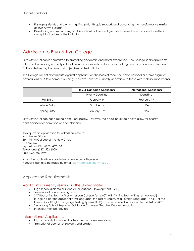- Engaging friends and alumni, inspiring philanthropic support, and advancing the transformative mission of Bryn Athyn College.
- Developing and maintaining facilities, infrastructure, and grounds to serve the educational, aesthetic, and spiritual values of the institution.

# <span id="page-8-0"></span>Admission to Bryn Athyn College

Bryn Athyn College is committed to promoting academic and moral excellence. The College seeks applicants interested in pursuing a quality education in the liberal arts and sciences that is grounded in spiritual values and faith as defined by the aims and objectives of the institution.

The College will not discriminate against applicants on the basis of race, sex, color, national or ethnic origin, or physical ability. A few campus buildings, however, are not currently accessible to those with mobility impairments.

|              | <b>U.S. &amp; Canadian Applicants</b> | <b>International Applicants</b> |  |
|--------------|---------------------------------------|---------------------------------|--|
|              | <b>Priority Deadline</b>              | Deadline                        |  |
| Fall Entry   | February 1st                          | February 1st                    |  |
| Winter Entry | October 1st                           | N/A                             |  |
| Spring Entry | January 15th                          | N/A                             |  |

Bryn Athyn College has a rolling admissions policy. However, the deadlines listed above allow for priority consideration for admission and scholarships.

To request an application for admission write to: Admissions Office Bryn Athyn College of the New Church PO Box 462 Bryn Athyn, PA 19009-0462 USA Telephone: (267) 502-6000 Fax: (267) 502-2593

An online application is available at: www.brynathyn.edu Requests can also be made by email: [admissions@brynathyn.edu](mailto:admissions@brynathyn.edu)

## <span id="page-8-1"></span>Application Requirements

#### <span id="page-8-2"></span>Applicants currently residing in the United States:

- High school diploma or General Educational Development (GED)
- Transcript of courses and grades
- SAT Reasoning Test (SAT) or American College Test (ACT) with Writing Test (writing test optional)
- If English is not the applicant's first language, the Test of English as a Foreign Language (TOEFL) or the International English Language Testing System (IELTS) may be required in addition to the SAT or ACT
- Secondary School Report or Guidance Counselor/Teacher Recommendation
- Interview may be required

#### <span id="page-8-3"></span>International Applicants:

- High school diploma, certificate, or record of examinations
- Transcript of courses, or subjects and grades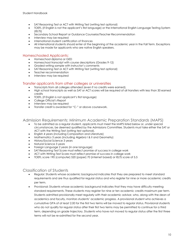- SAT Reasoning Test or ACT with Writing Test (writing test optional)
- TOEFL (if English is not the applicant's first language) or the International English Language Testing System (IELTS)
- Secondary School Report or Guidance Counselor/Teacher Recommendation
- Interview may be required
- International student certification of finances
- All international students should enter at the beginning of the academic year in the Fall Term. Exceptions may be made for applicants who are native English speakers.

#### <span id="page-9-0"></span>Homeschooled Applicants:

- Homeschool diploma or GED
- Homeschool transcript with course descriptions (Grades 9-12)
- Graded writing sample with instructor's comments
- SAT Reasoning Test or ACT with Writing Test (writing test optional)
- Teacher recommendation
- Interview may be required

#### <span id="page-9-1"></span>Transfer applicants from other colleges or universities

- Transcripts from all colleges attended (even if no credits were earned).
- High school transcripts as well as SAT or ACT scores will be required of all transfers with less than 30 earned credits
- TOEFL (if English is not applicant's first language)
- College Official's Report
- Interview may be required
- Transfer credit is awarded for "C-" or above coursework.

<span id="page-9-2"></span>Admission Requirements: Minimum Academic Preparation Standards (MAPS)

- To be admitted as a regular student, applicants must meet the MAPS listed below or, under special circumstances, be deemed qualified by the Admissions Committee. Students must take either the SAT or ACT with the Writing Test (writing test optional).
- English 4 years (including Composition and Literature)
- Mathematics 3 years (including Algebra I & II and Geometry)
- History/Social Science 3 years
- Natural Science 3 years
- Foreign Language 2 years (in one language)
- SAT Reasoning Test Score must reflect promise of success in college work
- ACT with Writing Test Score must reflect promise of success in college work
- TOEFL score 190 (computer) 520 (paper) 70 (internet based) or IELTS score of 5.5

## <span id="page-9-3"></span>Classification of Students

- Regular: Students whose academic background indicates that they are prepared to meet standard requirements and are thus qualified for regular status and who register for nine or more academic credits per term.
- Provisional: Students whose academic background indicates that they may have difficulty meeting standard requirements. These students may register for nine or ten academic credits maximum per term. Students admitted provisionally meet regularly with their academic advisor, who, along with the dean of academics and faculty, monitors students' academic progress. A provisional student who achieves a cumulative GPA of at least 2.00 for the first two terms will be moved to regular status. Provisional students who do not qualify for regular status after their first two terms may be permitted to continue for a third term, depending on grade trajectory. Students who have not moved to regular status after the first three terms will not be re-admitted for the second year.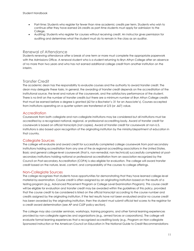- Part-time: Students who register for fewer than nine academic credits per term. Students who wish to continue after they have earned 24 credits as part-time students must apply for admission to the College.
- Auditing: Students who register for courses without receiving credit. An instructor gives permission for auditing and determines what the student must do to remain in the class as an auditor.

#### <span id="page-10-0"></span>Renewal of Attendance

Students renewing attendance after a break of one term or more must complete the appropriate paperwork with the Admissions Office. A renewal student who is a student returning to Bryn Athyn College after an absence of no more than two years and who has not earned additional college credit from another institution on the interim.

## <span id="page-10-1"></span>Transfer Credit

The academic dean has the responsibility to evaluate courses and the authority to award transfer credit. The dean may delegate these tasks. In general, the awarding of transfer credit depends on the accreditation of the institutional source, the level and nature of the coursework, and the satisfactory performance of the student. There is no limit on the number of transfer credits but there are a minimum number of Bryn Athyn College credits that must be earned before a degree is granted (62 for a Bachelor's; 31 for an Associate's). Courses accepted from institutions operating on a quarter system are transferred at 2/3 (or .667) value.

#### <span id="page-10-2"></span>Accreditation

Coursework from both collegiate and non-collegiate institutions may be considered but all institutions must be accredited by a recognized national, regional, or professional accrediting body. Award of transfer credit for coursework is based on official transcripts (not copies). Award of transfer credit for coursework at non-U.S. institutions is also based upon recognition of the originating institution by the ministry/department of education in that country.

#### <span id="page-10-3"></span>Collegiate Sources

The college will evaluate and award credit for successfully completed college coursework from post-secondary institutions holding accreditation from any one of the six regional accrediting associations in the United States. Basic and general college-level coursework (that is, non-remedial, non-technical) successfully completed at postsecondary institutions holding national or professional accreditation from an association recognized by the Council on Post-secondary Accreditation (COPA) is also eligible for evaluation. The college will award transfer credit based on the nature, level, content, and comparability of the courses to college offerings.

#### <span id="page-10-4"></span>Non*-*Collegiate Sources

The college recognizes that students have opportunities for demonstrating that they have learned college-level material by examination. Course credit is often assigned by an originating institution based on the results of a testing program (e.g., Advanced Placement Program or College Level Examination Program). This course credit will be eligible for evaluation and transfer credit may be awarded within the guidelines of this policy, provided that the course credit to be considered is listed on the official transcript according to the course number and credits assigned by the originating institution. If the test results have not been evaluated and/or no course credit has been awarded by the originating institution, then the student must submit official test scores to the registrar for a credit award determination (see AP and CLEP policy section).

The college may also consider seminars, workshops, training programs, and other formal learning experiences provided by non-collegiate agencies and organizations (e.g., armed forces or corporations). The college will evaluate formal learning experiences that a recognized accrediting body (e.g., Program on Non-collegiate Sponsored Instruction or the American Council on Education in The National Guide to Credit Recommendations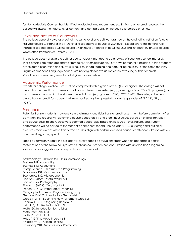for Non-collegiate Courses) has identified, evaluated, and recommended. Similar to other credit sources the college will assess the nature, level, content, and comparability of the course to college offerings.

#### <span id="page-11-0"></span>Level and Nature of Coursework

The college generally awards credit at the same level as credit was granted at the originating institution (e.g., a first year course will transfer in as 100-level, a second year course as 200-level). Exceptions to this general rule include a second college writing course which usually transfers in as Writing 202 and introductory physics courses which often transfer in as Physics 210/211.

The college does not award credit for courses clearly intended to be a review of secondary school material. These courses are often designated "remedial," "learning support," or "developmental." Included in this category are selected orientation and study skills courses, speed reading and note taking courses. For the same reasons, English as a Second Language courses are not eligible for evaluation or the awarding of transfer credit. Vocational courses are generally not eligible for evaluation.

#### <span id="page-11-1"></span>Academic Performance

Credits for college-level courses must be completed with a grade of "C-" (1.7) or higher. The college will not award transfer credit for coursework that has not been completed (e.g., given a grade of "I" or "in progress"), nor for coursework from which the student has withdrawn (e.g. grades of "W", "WP", "WF"). The college does not award transfer credit for courses that were audited or given pass/fail grades (e.g. grades of "P", "S", "U", or "CR").

#### <span id="page-11-2"></span>**Procedure**

Potential transfer students may receive a preliminary, unofficial transfer credit assessment before admission. After admission, the registrar will determine course acceptability and credit hour values based on official transcripts and course descriptions. Coursework deemed acceptable based on its source, level, nature, and student performance will be posted to the student's permanent record. The college will usually assign distribution or elective credit, except when transferred courses align with certain identified courses or after consultation with an area head regarding specific cases.

Specific Equivalent Credit: The College will award specific equivalent credit when an acceptable course matches one of the following Bryn Athyn College courses or when consultation with an area head regarding specific cases suggests specific equivalence is appropriate:

Anthropology 110: Intro to Cultural Anthropology Business 141: Accounting I Business 142: Accounting II Comp Science 180: Structured Programming Economics 131: Macroeconomics Economics 132: Microeconomics Fine Arts 120/220: Metal Work I & II Fine Arts 125: Photography Fine Arts 130/230: Ceramics I & II French 101/102: Introductory French I/II Geography 110: World Regional Geography German 101/102: Introductory German I/II Greek 110/111: Beginning New Testament Greek I/II Hebrew 110/111: Beginning Hebrew I/II Latin 110/111: Beginning Latin I/II Math 130: Introduction to Statistics Math 150: Calculus I Math 151: Calculus II Music 113/114: Music Theory I & II Philosophy 101: Critical Thinking Philosophy 210: Ancient Greek Philosophy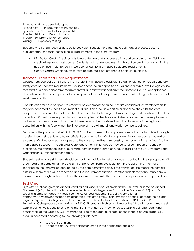Philosophy 211: Modern Philosophy Psychology 101: Introduction to Psychology Spanish 101/102: Introductory Spanish I/II Theater 110: Intro to Performing Arts Theater 150: Dramatic Performance Writing 101: Expository Writing

Students who transfer courses as specific equivalents should note that the credit transfer process does not evaluate transfer courses for fulfilling skill requirements in the Core Program.

- *Distribution Credit*: Credit counts toward degree and is accepted in a particular discipline. Distribution credit will apply to most courses. Students that transfer courses with distribution credit can work with the head of their major to see if those courses can fulfill any specific degree requirements.
- *Elective Credit:* Credit counts toward degree but is not assigned a particular discipline.

#### Transfer Credit and Core Requirements

Courses from accredited institutions that transfer in with specific equivalent credit or distribution credit generally satisfy core perspective requirements. Courses accepted as a specific equivalent to a Bryn Athyn College course that satisfies a core perspective requirement will also satisfy that particular requirement. Courses accepted for distribution credit in a core perspectives discipline satisfy that perspective requirement as long as the course is at least three credits.

Consideration for core perspective credit will be accomplished as courses are considered for transfer credit. If they are accepted as specific equivalent or distribution credit in a particular discipline, they fulfill the core perspective requirement in that discipline. In order to facilitate progress toward a degree, students who transfer in more than 55 credits are required to complete only two of the three specialized core perspective requirements: civil, moral, and worldviews. Up to one of these two can be transferred in at the discretion of the registrar in consultation with the faculty member in charge of the civil, moral, and worldviews perspectives.

Because of the particular criteria in IL, PP, QR, and W courses, skill components are not normally satisfied through transfer, though students who have sufficient documentation of skill components in transfer courses, as well as evidence of skill outcomes, may appeal to the core committee. If successful, the student will get a "pass" rather than a specific score in the skill area. Core requirements in language may be satisfied through evidence of proficiency via transfer courses or qualifying scores in standardized or in-house tests. See the BAC Programs and Organization Bulletin for further details.

Students seeking core skill credit should contact their advisor to get assistance in contacting the appropriate skill area head and completing the Core Skill Transfer Credit Form available from the registrar. The information specified on the form will be considered by the core committee and, if the transfer course meets the core skill criteria, a score of "P" will be recorded and the requirement satisfied. Transfer students may also satisfy core skill requirements through proficiency tests. They should consult with their advisor about proficiency test procedures.

#### <span id="page-12-0"></span>Test Credit

Bryn Athyn College gives advanced standing and various types of credit at the 100-level for some Advanced Placement (AP), International Baccalaureate (IB), and College Level Examination Program (CLEP) tests. For specific information about AP tests, see the Advanced Placement Credits information at http://www.brynathyn.edu/academics/catalog/test-credit.html. For information about IB, contact the college registrar. Bryn Athyn College accepts a maximum combined total of 31 credits from AP, IB, or CLEP tests. Bryn Athyn College accepts a maximum of 12 CLEP credits which count towards the 31 total. Students may seek CLEP credit for work done prior to enrollment at Bryn Athyn but may not pursue CLEP credit after beginning course work at the College. CLEP may not be used to replace, duplicate, or challenge a course grade. CLEP credit is accepted according to the following guidelines:

- Score of 50 or higher
- Accepted at 100-level distribution credit in the designated discipline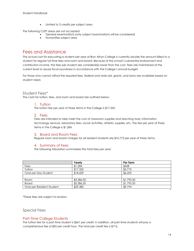• Limited to 3 credits per subject area

The following CLEP areas are not accepted:

- General examinations (only subject examinations will be considered)
- Humanities subject area

# <span id="page-13-0"></span>Fees and Assistance

The actual cost for educating a student per year at Bryn Athyn College is currently double the amount billed to a student for regular full time fees and room and board. Because of the school's substantial endowment and contribution income, the fees per student are considerably lower than the cost. Fees are maintained at the current level to assure fiscal soundness in accordance with the College's annual budget.

For those who cannot afford the required fees, federal and state aid, grants, and loans are available based on student need.

#### <span id="page-13-1"></span>Student Fees\*

<span id="page-13-2"></span>The costs for tuition, fees, and room and board are outlined below:

#### 1. Tuition

The tuition fee per year of three terms in the College is \$17,325.

#### <span id="page-13-3"></span>2. Fees

Fees are intended to help meet the cost of classroom supplies and teaching tools, information technology services, laboratory fees, social activities, athletic supplies, etc. The fee per year of three terms in the College is \$1,284.

#### <span id="page-13-4"></span>3. Board and Room Fees

Regular room and board charges for all resident students are \$10,773 per year of three terms.

#### <span id="page-13-5"></span>4. Summary of Fees

The following tabulation summarizes the total fees per year:

|                                   | Yearly     | Per Term   |
|-----------------------------------|------------|------------|
| Fees                              | \$1,284    | \$428      |
| Tuition                           | \$17,325   | \$5,775    |
| <b>Total per Day Student</b>      | \$18,609   | \$6,203    |
|                                   |            |            |
| Room                              | \$5,386.50 | \$1,795.50 |
| <b>Board</b>                      | \$5,386.50 | \$1,795.50 |
| <b>Total per Resident Student</b> | \$29,382   | \$9,794    |
|                                   |            | $\ast$     |

\*These fees are subject to revision.

#### <span id="page-13-6"></span>Special Fees

#### <span id="page-13-7"></span>Part-Time College Students

The tuition fee for a part-time student is \$661 per credit. In addition, all part-time students will pay a comprehensive fee of \$55 per credit hour. The total per credit fee is \$716.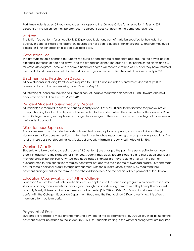Part-time students aged 55 years and older may apply to the College Office for a reduction in fees. A 50% discount on the tuition fee may be granted. The discount does not apply to the comprehensive fee.

#### <span id="page-14-0"></span>Auditors

The tuition fee per term for an auditor is \$280 per credit, plus any cost of materials supplied to the student or auditor. In general, studio and laboratory courses are not open to auditors. Senior citizens (60 and up) may audit classes for \$140 per credit on a space-available basis.

#### <span id="page-14-1"></span>Graduation Fee

The graduation fee is charged to students receiving baccalaureate or associate degrees. The fee covers cost of diplomas, purchase of cap and gown, and the graduation dinner. The cost is \$70 for Bachelor recipients and \$60 for Associate degrees. Those who receive a Bachelor degree will receive a refund of \$10 after they have returned the hood. If a student does not plan to participate in graduation activities the cost of a diploma only is \$30.

#### <span id="page-14-2"></span>Enrollment and Registration Deposits

All new students, including transfers, are required to submit a non-refundable enrollment deposit of \$200 to reserve a place in the new entering class. Due by May 1st.

All returning students are required to submit a non-refundable registration deposit of \$100.00 towards the next academic year's tuition. Due by March 28th.

#### <span id="page-14-3"></span>Resident Student Housing Security Deposit

All residents are required to submit a housing security deposit of \$250.00 prior to the first time they move into oncampus housing facilities. This deposit will be refunded to the student when they are finished attendance at Bryn Athyn College, as long as they have no charges for damages to their room, and no outstanding balance due on their student account.

#### <span id="page-14-4"></span>Miscellaneous Expenses

The above fees do not include the costs of travel, text books, laptop computers, educational trips, clothing, student association dues, recreation, student health center charges, or housing on-campus during vacations. The total of these costs per student varies widely, but a yearly minimum is roughly estimated at \$3,550.

#### <span id="page-14-5"></span>Overload Credits

Students who take overload credits (above 14.5 per term) are charged the part-time per credit rate for these credits in addition to the standard full time fees. Students may apply federal student aid to these additional fees if they are eligible, but no Bryn Athyn College need-based financial aid is available to assist with the cost of overload credits. Also, the tuition remission benefit will not apply to the expense of overload credits. Students must pay for these additional credits through arrangement with the Bursar's Office, typically by modifying their payment arrangement for the term to cover the additional fee. See the policies about payment of fees below.

#### <span id="page-14-6"></span>Education Coursework at Bryn Athyn College

Education Courses taken at Holy Family: Students accepted into the Education program who complete required student teaching requirements for their degree through a consortium agreement with Holy Family University will pay Holy Family University tuition and fees for that semester (\$14,228 for 2014-15). Education students should confer with the College's Education Department Head and the Financial Aid Office to verify how this affects them on a term by term basis.

## <span id="page-14-7"></span>Payment of Fees

Students are required to make arrangements to pay fees for the academic year by August 1st. Initial billing for the payment due will be mailed to the student by July 11th. Students starting in the winter or spring terms are required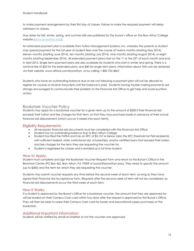to make payment arrangements by their first day of classes. Failure to make the required payment will delay admission to classes.

Due dates for fall, winter, spring, and summer bills are published by the bursar's office on the Bryn Athyn College website [\(www.brynathyn.edu\)](http://www.brynathyn.edu/).

An extended payment plan is available from Tuition Management Systems, Inc. whereby the parents or student may spread payment for the full year of student fees over the course of twelve months (starting May 2014), eleven months (starting June 2014), ten months (starting July 2014), nine months (starting August 2014), or eight months (starting September 2014). All extended payment plans start on the 1st or the 25th of each month and end in April 2015. Single term payment plans are also available for students who start in winter and spring. There is a nominal fee of \$50 for the extended plans, and \$40 for single term plans. Information about TMS can be obtained via their website, www.afford.com/brynathyn, or by calling 1-800-722-4867.

Students who have an outstanding balance due or are not following a payment plan will not be allowed to register for courses or receive transcripts until the balance is paid. Students having trouble making payments are strongly encouraged to communicate their problem to the Financial Aid Office to get help and avoid punitive action.

## <span id="page-15-0"></span>Bookstore Voucher Policy

Students may apply for a bookstore voucher for a given term up to the amount of \$300 if their financial aid exceeds their tuition and fee charges for that term, so that they may purchase books in advance of their actual financial aid disbursement (which occurs 3 weeks into each term).

#### <span id="page-15-1"></span>Eligibility Requirements:

- All necessary financial aid documents must be completed with the Financial Aid Office
- Student has no outstanding balance due to Bryn Athyn College
- Student has filed the FAFSA and has an EFC of \$5,157 or below (also the EFC threshold for Pell recipients) with sufficient federal, state, institutional aid, scholarships, and/or certified loans that exceed their tuition and fee charges for the term they are requesting the voucher for.
- Student is registered for classes and is enrolled as a full time student.

#### <span id="page-15-2"></span>How to Apply:

Student must complete and sign the Bookstore Voucher Request Form and return to the Bursar's Office in the Brickman Center (PO Box 462, Bryn Athyn, PA 19009 or bursar@brynathyn.edu). They need to specify the amount (up to \$300) and the term for which they are requesting the voucher.

Students may submit voucher requests any time before the second week of each term, as long as they have signed their Financial Aid Acceptance Form. Requests after the second week of term will not be considered, as financial aid disbursements occur the third week of each term.

#### <span id="page-15-3"></span>How it Works:

If a student is approved by the Bursar's Office for a bookstore voucher, the amount that they are approved for will be loaded on their Campus Cash card within two days after the request is approved by the Bursar's Office. They will then be able to swipe their Campus Cash card for books and educational supply purchases at the bookstore.

#### <span id="page-15-4"></span>Additional Important Information:

Students will be notified by email of whether or not the voucher was approved.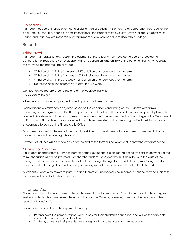#### <span id="page-16-0"></span>**Conditions**

If a student becomes ineligible for financial aid, or their aid eligibility is otherwise affected after they receive the bookstore voucher (i.e. change in enrollment status), the student may owe Bryn Athyn College. Students must understand that they are responsible for repayment of any balance due to Bryn Athyn College.

#### <span id="page-16-1"></span>Refunds

#### <span id="page-16-2"></span>**Withdrawal**

If a student withdraws for any reason, the payment of those fees which have come due is not subject to cancellation or reduction. However, upon written application, and entirely at the option of Bryn Athyn College, the following refunds may be allowed:

- Withdrawal within the 1st week —75% of tuition and room costs for the term.
- Withdrawal within the 2nd week—50% of tuition and room costs for the term.
- Withdrawal within the 3rd week—25% of tuition and room costs for the term.
- No refund of tuition or room costs after the 3rd week.

Comprehensive fee prorated to the end of the week during which the student withdraws.

All institutional assistance is prorated based upon actual fees charged.

Federal financial assistance is adjusted based on the conditions and timing of the student's withdrawal, according to the regulations of the U.S. Department of Education. All unearned funds are required by law to be returned. Mid-term withdrawals may result in the student owing unearned funds to the college or the Department of Education. Students who are concerned about how a mid-term withdrawal might affect their balance are encouraged to contact the Financial Aid Office.

Board fees prorated to the end of the board week in which the student withdraws, plus an overhead charge made by the food service organization.

Payment of refunds will be made only after the end of the term during which a student withdraws from school.

#### <span id="page-16-3"></span>Moving to Part-time

If a student changes from full-time to part-time status during the eligible refund period (the first three weeks of the term), the tuition bill will be prorated such that the student is charged the full-time rate up to the date of the change, and the part-time rate from the date of the change through to the end of the term. Changes in status after the end of the eligible refund period (third week) will not result in an adjustment to the tuition bill.

A resident student who moves to part-time and therefore is no longer living in campus housing may be subject to the room and board refunds stated above.

#### <span id="page-16-4"></span>Financial Aid

Financial aid is available for those students who need financial assistance. Financial aid is available to degreeseeking students who have been offered admission to the College; however, admission does not guarantee receipt of financial aid.

Financial aid is based on a three-point philosophy:

- Parents have the primary responsibility to pay for their children's education, and will, as they are able, contribute funds for such education.
- Students, as well as their parents, have a responsibility to help pay for their education.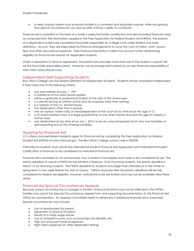A need analysis system must evaluate families in a consistent and equitable manner, while recognizing that special circumstances can and do alter a family's ability to contribute.

Financial aid is awarded on the basis of a family's expected family contribution and demonstrated financial need as computed from the information supplied in the Free Application for Federal Student Aid (FAFSA). The parents of a dependent student are considered financially responsible for College costs under federal and state definitions. As such, they are responsible for financial arrangements to cover the costs of tuition, room, board, fees and other educational expenses. Their financial information is taken into account when determining eligibility for financial aid awards for dependent students.

Under a separation or divorce agreement, the parent who provides more than half of the student's support will be the financially responsible parent. However, we encourage both parents to accept financial responsibility of their child's educational costs.

## <span id="page-17-0"></span>Independent (Self-Supporting) Students

Bryn Athyn College uses the federal definition of Independent Students. Students will be considered independent if they meet one of the following criteria:

- was born before January 1, 1991
- is married as of the date he/she applies
- will be a graduate or professional student at the start of the award year
- is currently serving on military active duty for purposes other than training
- is a veteran of the U.S. Armed Forces
- has dependents other than a spouse
- was an orphan, foster child, or ward/dependent of the court at any time since the age of 13
- is an emancipated minor or in legal guardianship or was when he/she reached the age of majority in his/her state
- was determined at any time since July 1, 2013, to be an unaccompanied youth who was homeless or self-supporting and at risk of being homeless.

## <span id="page-17-1"></span>Applying for Financial Aid

U.S. citizens and permanent residents apply for financial aid by completing the Free Application for Federal Student Aid (FAFSA) at www.fafsa.ed.gov. The Bryn Athyn College school code is 003228.

International students must submit the International Student Financial Aid Application and International Student Certification of Finances to be considered for institutional financial aid.

Financial aid is awarded on an annual basis; thus a student must reapply each year to be considered for aid. The priority deadline to submit a FAFSA for the fall term is February 15 for incoming students. The priority deadline is March 15 for returning students. The FAFSA deadline for students who begin their attendance in the winter or spring terms is one week before the start of classes. FAFSAs received after the priority deadlines will be fully considered for federal aid eligibility, however, institutional funds are limited and may not be available after these dates.

## <span id="page-17-2"></span>Financial Aid Special Circumstances Appeals

Because unique circumstances or changes in families' financial situations may not be reflected in the FAFSA, families may submit the Special Circumstances Appeal form and supporting documentation to the Financial Aid Office for consideration. An Appeals Committee meets to determine if additional financial aid is warranted. Special circumstances may include:

- Loss of employment by parent.
- Separation or divorce of parent.
- Death of a major wage earner.
- Loss of untaxed income, such as Social Security Benefits, etc.
- High out-of-pocket medical expenses.
- High tuition expenses for other dependent siblings.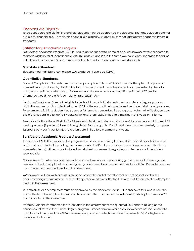#### <span id="page-18-0"></span>Financial Aid Eligibility

To be considered eligible for financial aid, students must be degree-seeking students. Exchange students are not eligible for financial aid. To maintain financial aid eligibility, students must meet Satisfactory Academic Progress standards.

#### <span id="page-18-1"></span>Satisfactory Academic Progress

Satisfactory Academic Progress (SAP) is used to define successful completion of coursework toward a degree to maintain eligibility for student financial aid. This policy is applied in the same way to students receiving federal or institutional financial aid. Students must meet both qualitative and quantitative standards.

#### **Qualitative Standard:**

Students must maintain a cumulative 2.00 grade point average (GPA).

#### **Quantitative Standards:**

Pace of Completion: Students must successfully complete at least 67% of all credits attempted. The pace of completion is calculated by dividing the total number of credit hours the student has completed by the total number of credit hours attempted. For example, a student who has earned 21 credits out of 27 credits attempted would have a 78% completion rate (21/27=.78).

Maximum Timeframe: To remain eligible for federal financial aid, students must complete a degree program within the maximum allowable timeframe (150% of the normal timeframe) based on student status and program. For example, a full-time student has 6 years or 18 terms to complete a B.A. program. Note that while students are eligible for federal aid for up to 6 years, institutional grant aid is limited to a maximum of 5 years or 15 terms.

Pennsylvania State Grant Eligibility for PA residents: Full-time students must successfully complete a minimum of 24 credits per year (8 per term) to remain eligible for PA state grants. Part-time students must successfully complete 12 credits per year (4 per term). State grants are limited to a maximum of 4 years.

#### **Satisfactory Academic Progress Assessment**

The Financial Aid Office monitors the progress of all students receiving federal, state, or institutional aid, and will verify that each student is meeting the requirements of SAP at the end of each academic year (or after three completed terms). All terms are included in a student's assessment, regardless of whether or not the student received aid.

*Course Repeats:* When a student repeats a course to replace a low or failing grade, a record of every grade remains on the transcript, but only the highest grade is used to calculate the cumulative GPA. Repeated courses are counted as attempted credits in the assessment.

*Withdrawals:* Withdrawals or classes dropped before the end of the fifth week will not be included in the academic progress assessment. Classes dropped or withdrawn after the fifth week will be counted as attempted credits in the assessment.

*Incompletes:* All 'incompletes' must be approved by the academic dean. Students have four weeks from the end of the term to complete the work of the course, otherwise the 'incomplete' automatically becomes an "F" and is counted in the assessment.

*Transfer students:* Transfer credits are included in the assessment of the quantitative standard as long as the courses count toward the current degree program. Grades from transferred coursework are not included in the calculation of the cumulative GPA; however, only courses in which the student received a "C-"or higher are accepted for transfer.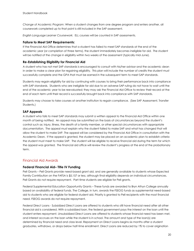*Change of Academic Program*: When a student changes from one degree program and enters another, all coursework completed up to that point is still included in the SAP assessment.

*English Language Learner Coursework:* ELL courses will be counted in SAP assessments.

#### **Failure to Meet SAP Requirements:**

If the Financial Aid Office determines that a student has failed to meet SAP standards at the end of the academic year (or completion of three terms), the student immediately becomes ineligible for aid. The student will be notified of the change in eligibility within two weeks of the assessment (typically mid-June).

#### **Re-Establishing Eligibility for Financial Aid**

A student who has not met SAP standards is encouraged to consult with his/her advisor and the academic dean in order to make a clear plan for regaining eligibility. This plan will include the number of credits the student must successfully complete and the GPA that must be earned in the subsequent term to meet SAP standards.

Students may regain eligibility for aid by continuing with courses to bring their performance back into compliance with SAP standards. Students who are ineligible for aid due to an adverse SAP ruling do not have to wait until the end of the academic year to be reevaluated; they may ask the Financial Aid Office to review their record at the end of each term until their record is successfully brought back into compliance with SAP standards.

Students may choose to take courses at another institution to regain compliance. (See SAP Assessment, Transfer Students.)

#### **SAP Appeals**

A student who fails to meet SAP standards may submit a written appeal to the Financial Aid Office within one month of being notified. An appeal may be submitted on the basis of circumstances beyond the student's control such as: injury, illness, the death of a family member, or other special circumstances with appropriate documentation. The appeal must explain why the student failed to make SAP and what has changed that will allow the student to make SAP. The appeal will be considered by the Financial Aid Office in consultation with the Academic Dean. If the appeal is granted, the student may be placed on an academic plan to establish criteria the student must meet to make SAP. The student will be eligible to receive financial aid during the term for which the appeal was granted. The financial aid office will review the student's progress at the end of the probationary term.

## <span id="page-19-0"></span>Financial Aid Awards

#### **Federal Financial Aid– Title IV Funding**

Pell Grants – Pell Grants provide need-based grant aid, and are generally available to students whose Expected Family Contribution on the FAFSA is \$5,157 or less, although final eligibility depends on individual circumstances. Pell Grants do not require repayment. Part-time students are eligible for Pell grants.

Federal Supplemental Education Opportunity Grants – These funds are awarded to Bryn Athyn College annually based on availability of federal funds. The College, in turn, awards the FSEOG funds as supplemental need-based aid to students who are eligible for federal student aid. Priority is granted to Pell recipients with the most financial need. FSEOG awards do not require repayment.

Federal Direct Loans - Subsidized Direct Loans are offered to students who still have financial need after all other financial aid is considered. With a subsidized loan, the federal government pays the interest on the loan until the student enters repayment. Unsubsidized Direct Loans are offered to students whose financial need has been met, and interest accrues on the loan while the student is in school. The amount and type of the loan(s) are determined by financial need and class level. Repayment on Direct Loans begins six months after a student graduates, withdraws, or drops below half-time enrollment. Direct Loans are reduced by 1% to cover origination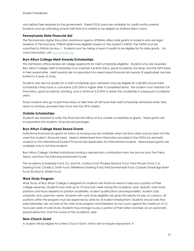and default fees required by the government. Parent PLUS Loans are available for credit-worthy parents. Students must be attending at least half-time (4.5 credits) to be eligible for Stafford Direct Loans.

#### **Pennsylvania State Financial Aid**

The Pennsylvania Higher Education Assistance Agency (PHEAA) offers state grants to students who are legal residents of Pennsylvania. PHEAA determines eligibility based on the student's FAFSA. The FAFSA must be submitted to PHEAA by May 1. Students must be taking at least 4 credits to be eligible for PA state grants. For more information, visit [www.pheaa.org.](http://www.pheaa.org/)

#### **Bryn Athyn College Merit Awards/Scholarships**

The Admissions Office reviews all college applicants for merit scholarship eligibility. Students who are awarded Bryn Athyn College merit scholarships must maintain full-time status, good academic standing, and the GPA listed in their award letter. Merit awards are incorporated into need-based financial aid awards (if applicable) and are limited to 4 years of study.

Students who did not qualify for a merit scholarship upon admission may be eligible for a \$3,000 annual merit scholarship if they have a cumulative 3.25 GPA or higher after 3 completed terms. The student must maintain fulltime status, good academic standing, and a minimum 2.5 GPA to retain the scholarship in subsequent academic years.

Those students who go to part-time status or take time off will have their merit scholarship reinstated when they return to full-time, provided they have met the GPA criteria.

#### **Outside Scholarships**

Students are required to notify the Financial Aid Office of any outside scholarships or grants. These grants are incorporated into students' financial aid packages.

#### **Bryn Athyn College Need-Based Grants**

Institutional financial aid grants for tuition or housing may be available when aid from other sources does not fully meet the student's financial need. Need is determined from information provided in the FAFSA for domestic students or the International Student Financial Aid Application for international students. Need-based grants are available only to full-time students.

Bryn Athyn College's limited institutional funding is derived from contributions from the annual fund, the Theta Alpha, and from the following endowment funds:

The Academy Scholarship Fund; S.S. and H.K. Lindsay Fund; Phoebe Bostock Fund; Vera Pitcairn Fund; C.E. Doering Fund; Charles S. Smith Fund; Wilhelmina Doering Fund; Fred Synnestvedt Fund; Captain Dandridge Ebert Fund; Richard A. Walter Fund.

#### **Work Study Program**

Work Study at Bryn Athyn College is designed for students with financial need to help pay a portion of their college expenses. Students may work up to 10 hours per week during the academic year. Specific work study positions and hours depend on position availability, student qualifications and responsibility, student class schedule, and supervisor needs. Students with work study eligibility are given first priority for jobs on campus. All positions within the program must be approved by director of student employment. Students should note that paid internships are not part of the work study program and therefore do not count against the maximum of 10 hours per week of work study. Students may arrange to pay a portion of their tuition and fees via an automatic payroll deduction over the course of the academic year.

#### **New Church Grant**

A student will be eligible for a New Church Grant, which will not require repayment, if: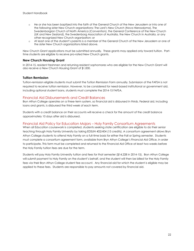- o He or she has been baptized into the faith of the General Church of the New Jerusalem or into one of the following sister New Church organizations: The Lord's New Church (Nova Hierosalyma), The Swedenborgian Church of North America (Convention), the General Conference of the New Church (UK and New Zealand), the Swedenborg Association of Australia, the New Church in Australia, or any other recognized New Church organization; or
- o At least one of the student's parents is a member of the General Church of the New Jerusalem or one of the sister New Church organizations listed above.

New Church Grant applications must be submitted annually. These grants may applied only toward tuition. Parttime students are eligible to receive pro-rated New Church grants.

#### **New Church Housing Grant**

In 2014-15, resident freshmen and returning resident sophomores who are eligible for the New Church Grant will also receive a New Church Housing Grant of \$1,000.

#### **Tuition Remission**

Tuition-remission eligible students must submit the Tuition Remission Form annually. Submission of the FAFSA is not required to receive tuition remission. However, to be considered for need-based institutional or government aid, including optional student loans, students must complete the 2014-15 FAFSA.

#### <span id="page-21-0"></span>Financial Aid Disbursements and Credit Balances

Bryn Athyn College operates on a three-term system, so financial aid is disbursed in thirds. Federal aid, including loans and grants, is disbursed the third week of each term.

Students with a credit balance on their accounts will receive a check for the amount of the credit balance approximately 10 days after aid is disbursed.

#### <span id="page-21-1"></span>Financial Aid Policy for Education Majors – Holy Family Consortium Agreements

When all Education coursework is completed, students seeking state certification are eligible to do their senior teaching through Holy Family University by taking EDSUN 402/404 (15 credits). A consortium agreement allows Bryn Athyn College students to attend Holy Family on a full-time basis for either the Fall or Spring semester. Students must complete a consortium agreement form, available from Bryn Athyn College's Financial Aid Office, in order to participate. This form must be completed and returned to the Financial Aid Office at least two weeks before the Holy Family tuition fees are due for the term.

Students will pay Holy Family University tuition and fees for that semester (\$14,228 in 2014-15). Bryn Athyn College will submit payment to Holy Family on the student's behalf, and the student will then be billed for the Holy Family fees via their Bryn Athyn College student fee account. Any financial aid for which the student is eligible may be applied to these fees. Students are responsible to pay amounts not covered by financial aid.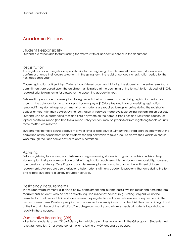# <span id="page-22-0"></span>Academic Policies

#### <span id="page-22-1"></span>Student Responsibility

Students are responsible for familiarizing themselves with all academic policies in this document.

#### <span id="page-22-2"></span>Registration

The registrar conducts registration periods prior to the beginning of each term. At these times, students can confirm or change their course selections. In the spring term, the registrar conducts a registration period for the next academic year.

Course registration at Bryn Athyn College is considered a contract, binding the student for the entire term. Many commitments are based upon the enrollment anticipated at the beginning of the term. A tuition deposit of \$100 is required prior to registering for classes for the upcoming academic year.

Full-time first year students are required to register with their academic advisors during registration periods as shown in the calendar for the school year. Students pay a \$100 late fee and have any existing registration removed if they do not register on time. All other students are required to register online during the registration periods or meet with their advisor. Online registration will only be made available during the registration periods. Students who have outstanding fees and fines anywhere on the campus (see Fees and Assistance section) or lapsed health insurance (see Health Insurance Policy section) may be prohibited from registering for classes until these matters are resolved.

Students may not take courses above their year level or take courses without the stated prerequisites without the permission of the department chair. Students seeking permission to take a course above their year level should work through their academic advisor to obtain permission.

#### <span id="page-22-3"></span>Advising

Before registering for courses, each full-time or degree-seeking student is assigned an advisor. Advisors help students plan their programs and can assist with registration each term. It is the student's responsibility, however, to understand residency, Core Program, and degree requirements and to plan for the fulfillment of those requirements. Advisors are also available to help students with any academic problems that arise during the term and to refer students to a variety of support services.

## <span id="page-22-4"></span>Residency Requirements

The residency requirements explained below complement and in some cases overlap major and core program requirements. Students who do not complete required residency courses (e.g., writing, religion) will not be permitted to continue as full-time students unless they register for and complete residency requirements in the next academic term. Residency requirements are more than simply items on a checklist; they are an integral part of the life and mission of the institution. The college community as a whole expects all students to participate readily in these courses.

## <span id="page-22-5"></span>Quantitative Reasoning (QR)

All entering students take a QR proficiency test, which determines placement in the QR program. Students must take Mathematics 101 or place out of it prior to taking any QR-designated courses.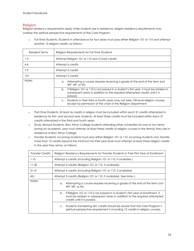#### <span id="page-23-0"></span>Religion

Religion residency requirements apply while students are in residence; religion residency requirements may overlap the spiritual perspective requirements of the Core Program.

o Full-Time Students. Students in attendance for four years must pass either Religion 101 or 110 and attempt another 15 religion credits, as follows:

| <b>Resident Terms</b> | Religion Requirements for Full Time Students                                                                                                                                         |  |  |
|-----------------------|--------------------------------------------------------------------------------------------------------------------------------------------------------------------------------------|--|--|
| $1 - 3$               | Attempt Religion 101 or 110 and 3 more credits                                                                                                                                       |  |  |
| $4-6$                 | Attempt 6 credits                                                                                                                                                                    |  |  |
| $7-9$                 | Attempt 3 credits                                                                                                                                                                    |  |  |
| $10+$                 | Attempt 3 credits                                                                                                                                                                    |  |  |
| Notes:                | Attempting a course requires receiving a grade at the end of the term (not<br>a.<br>WP, WF, or W).                                                                                   |  |  |
|                       | If Religion 101 or 110 is not passed in a student's first year, it must be retaken in<br>b.<br>subsequent years in addition to the required attempted credits until it is<br>passed. |  |  |
|                       | Students in their third or fourth years may not take 100-level religion courses,<br>C <sub>1</sub><br>except by permission of the chair of the Religion Department.                  |  |  |

- o Part-Time Students. At least six credits in religion must be included within each 31 credits attempted in residence for first- and second-year students. At least three credits must be included within each 31 credits attempted in the third and fourth years.
- o Study Abroad Students. Bryn Athyn College students attending other universities for one or two terms during an academic year must attempt at least three credits of religion courses in the term(s) they are inresidence at Bryn Athyn College.
- o Transfer Students. Incoming students must pass either Religion 101 or 110. Incoming students who transfer more than 10 credits beyond the minimum for their year level must attempt at least three religion credits in the year they arrive, as follows:

| Transfer Credits | Religion Residency Requirements for Transfer Students in Their First Year of Enrollment                                                                                                            |  |  |
|------------------|----------------------------------------------------------------------------------------------------------------------------------------------------------------------------------------------------|--|--|
| $1 - 10$         | Attempt 6 credits (including Religion 101 or 110, if available)                                                                                                                                    |  |  |
| $11 - 30$        | Attempt 3 credits (Religion 101 or 110, if available)                                                                                                                                              |  |  |
| $31 - 41$        | Attempt 6 credits (including Religion 101 or 110, if available)                                                                                                                                    |  |  |
| $42+$            | Attempt 3 credits (Religion 101 or 110, if available). See Note c.                                                                                                                                 |  |  |
| Notes:           | Attempting a course requires receiving a grade at the end of the term (not<br>$\alpha$ .<br>WP, WF, or W).                                                                                         |  |  |
|                  | If Religion 101 or 110 is not passed in a student's first year of enrollment, it<br>b.<br>must be retaken in subsequent years in addition to the required attempted<br>credits until it is passed. |  |  |
|                  | Students transferring 42+ credits should be aware that the Core Program's<br>$C_{\star}$<br>spiritual perspective requirement is including 12 credits in religion courses.                         |  |  |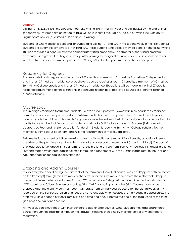#### <span id="page-24-0"></span>**Writing**

Writing 101 & 202. All full-time students must take Writing 101 in their first year and Writing 202 by the end of their second year. Freshmen are permitted to take Writing 202 only if they (a) passed out of Writing 101 with an AP English score of 5, or (b) earned at least an A- in Writing 101.

Students for whom English is a second language take Writing 101 and 202 in the second year. In their first year ELL Students are automatically enrolled in Writing 100. Those students who believe they do benefit from taking Writing 100 can request a diagnostic essay to demonstrate writing proficiency. The director of the writing program administers and grades the diagnostic essay. After passing the diagnostic essay, students can discuss a waiver with the director of academic support to take Writing 101 in the first year instead of the second year.

#### <span id="page-24-1"></span>Residency for Degrees

The associate in arts degree requires a total of 62 credits; a minimum of 31 must be Bryn Athyn College credits and the last 27 must be in residence. A bachelor's degree requires at least 124 credits; a minimum of 62 must be Bryn Athyn College credits and the last 27 must be in residence. Exceptions will be made in the final 27 credits-inresidence requirements for those students in approved internships or approved courses or programs taken at other institutions.

## <span id="page-24-2"></span>Course Load

The average credit load for full-time students is eleven credits per term. Fewer than nine academic credits per term places a student on part-time status. Full-time students should complete at least 31 credits each year in order to reach the minimum 124 credits for graduation and maintain full eligibility for student loans. In addition, to qualify for various kinds of financial aid, students must make Satisfactory Academic Progress (SAP) toward a degree (See Fees and Assistance section for details). Students receiving Bryn Athyn College scholarships must maintain full time status each term and fulfill the requirements of their award letter.

Full-time tuition payment or tuition remission covers 14.5 credits per term. Additional credits, or portions thereof, are billed at the part-time rate. No student may take an overload of more than 2.5 credits (17 total). The cost of overload credits (i.e. above 14.5 per term) is not eligible for grant aid from Bryn Athyn College's financial aid fund. Students must pay for these additional credits through arrangement with the Bursar. Please refer to the Fees and Assistance section for additional information.

#### <span id="page-24-3"></span>Dropping and Adding Courses

Courses may be added during the first week of the term only. Individual courses may be dropped (with no record on the transcript) through the sixth week of the term. After the sixth week, and before the ninth week, dropped courses will be recorded as Withdrew Passing (WP) or Withdrew Failing (WF) as determined by the instructor. A "WF" counts as a failure (F) when computing GPA; "WP" has no impact on the GPA. Courses may not be dropped after the eighth week; if a student withdraws from an individual course after the eighth week, an "F" is recorded on the transcript. Tuition and fees are not refundable when courses are individually dropped unless the drop results in a change of status from full to part-time and occurs before the end of the third week of the term (see Fees and Assistance section).

First-year students must meet with their advisors to add or drop courses. Other students may add and/or drop courses through the registrar or through their advisor. Students should notify their advisors of any changes to registration.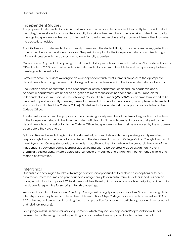## <span id="page-25-0"></span>Independent Studies

The purpose of independent studies is to allow students who have demonstrated their ability to do solid work at the collegiate level, and who have the capacity to work on their own, to do course work outside of the catalog offerings. Independent studies are not intended for covering material in existing courses at times other than when the course is scheduled.

The initiative for an independent study usually comes from the student. It might in some cases be suggested by a faculty member or by the student's advisor. The preliminary plan for the independent study can arise through informal discussion with the advisor or a potential faculty supervisor.

Qualifications: Any student proposing an independent study must have completed at least 31 credits and have a GPA of at least 2.7. Students who undertake independent studies must be able to work independently between meetings with the instructor.

Formal Proposal: A student wanting to do an independent study must submit a proposal to the appropriate department chair during the week prior to registration for the term in which the independent study is to occur.

Registration cannot occur without the prior approval of the department chair and the academic dean. Academic departments are under no obligation to meet requests for independent studies. Proposals for independent studies must include the following: Course title & number (299 or 399); academic term; credit to be awarded; supervising faculty member; general statement of material to be covered; a completed independent study card (available at the College Office). Guidelines for independent study proposals are available at the College Office.

The student should submit the proposal to the supervising faculty member at the time of registration for the term of the independent study. At this time the student will also submit the independent study card (signed by the department chair and instructor) to the College Office. Independent studies must be approved by the academic dean before they are offered.

Syllabus: Before the end of registration the student will, in consultation with the supervising faculty member, prepare a syllabus for the course for submission to the department chair and College Office. The syllabus should meet Bryn Athyn College standards and include, in addition to the information in the proposal: the goals of the independent study and specific learning objectives; material to be covered; graded assignments/returns; preliminary bibliography, where appropriate; schedule of meetings and assignments; performance criteria and method of evaluation.

## <span id="page-25-1"></span>Internships

Students are encouraged to take advantage of internship opportunities to explore career options or for selfexploration. Internships may be paid or unpaid and generally last an entire term, but other schedules can be arranged with faculty approval. While students will be offered guidance and contacts in designing an internship, the student is responsible for securing internship openings.

We expect our interns to represent Bryn Athyn College with integrity and professionalism. Students are eligible for internships once they have completed two full terms at Bryn Athyn College, have earned a cumulative GPA of 2.70 or better, and are in good standing (i.e., not on probation for academic deficiency, academic misconduct, or disciplinary reasons).

Each program has unique internship requirements, which may include papers and/or presentations, but all require a formal learning plan with specific goals and a reflective component such as a field journal.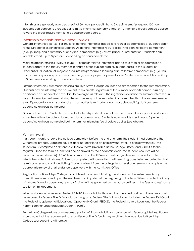Internships are generally awarded credit at 50 hours per credit, thus a 3 credit internship requires 150 hours. Students can earn up to 3 credits per term via internships but only a total of 12 internship credits can be applied toward the credit requirement for a baccalaureate degree.

## <span id="page-26-0"></span>Internship Variants and Related Policies

General internships (EE198): For 100-level general internships added to a regular academic load, students apply to the Director of Experiential Education. All general internships require a learning plan, reflective component (e.g., journal), and a summary or analytical component (e.g., essay, paper, or presentation). Students earn variable credit (up to 3 per term) depending on hours completed.

Major-related internships (298/398 levels): For major-related internships added to a regular academic load, students apply to the faculty member in charge of the subject area or, in some cases to the Director of Experiential Education. All major-related internships require a learning plan, reflective component (e.g., journal), and a summary or analytical component (e.g., essay, paper, or presentation). Students earn variable credit (up to 3 per term) depending on hours completed.

Summer internships: Summer internships are Bryn Athyn College courses and are recorded for the summer session. Students pay an internship fee equivalent to 0.5 credits, regardless of the number of credits earned, plus any additional costs needed to cover faculty oversight, as relevant. The registration deadline for summer internships is May 1. Internships performed during the summer may not be recorded in a term other than the summer session, even if preparatory work is undertaken in an earlier term. Students earn variable credit (up to 3 per term) depending on hours completed.

Distance Internships: Students can conduct internships at a distance from the campus but as part-time students since they will not be able to take a regular academic load. Students earn variable credit (up to 3 per term) depending on hours completed but the summer internship fee structure applies (see above).

#### <span id="page-26-1"></span>**Withdrawal**

If a student wants to leave the college completely before the end of a term, the student must complete the withdrawal process. Dropping courses does not constitute an official withdrawal. To officially withdraw, the student must complete an "Intent to Withdraw" form (available at the College Office) and submit it to the registrar. Once the form is submitted and approved by the academic dean, the student's courses will be recorded as Withdrew (W). A "W" has no impact on the GPA—no credit or grades are awarded for a term in which the student withdraws. Failure to complete a withdrawal form will result in grades being recorded for that term's courses and continued billing. Students absent from the college for at least one term must complete the appropriate renewal of attendance paperwork with the Admissions Office.

Registration at Bryn Athyn College is considered a contract, binding the student for the entire term. Many commitments are based upon the enrollment anticipated at the beginning of the term. When a student officially withdraws from all courses, any refund of tuition will be governed by the policy outlined in the fees and assistance section of this document.

When a student who received Federal Title IV financial aid withdraws, the unearned portion of these awards will be returned to Federal Title IV financial aid programs. Federal Title IV financial aid includes the Federal Pell Grant, the Federal Supplemental Educational Opportunity Grant (FSEOG), the Federal Stafford Loan, and the Federal Parent Loan for Undergraduate Students (PLUS).

Bryn Athyn College returns any unearned portion of financial aid in accordance with federal guidelines. Students should note that the requirement to return Federal Title IV funds may result in a balance due to Bryn Athyn College subsequent to withdrawal.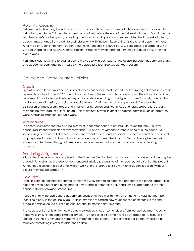## <span id="page-27-0"></span>Auditing Courses

Full-time students wishing to audit a course may do so with permission from both the department chair and the instructor's permission. This permission must be obtained before the end of the first week of a term. Each instructor sets the course's auditing policy regarding attendance, participation, and returns. After the first week of a term, students may change from credit to audit status only with the permission of the instructor and department chair. After the sixth week of the term, students changing from credit to audit status will also receive a grade of WP or WF (see Dropping and Adding Courses section). Students may not change from credit to audit status after the eighth week.

Part-time students wishing to audit a course may do so with permission of the course instructor, department chair, and academic dean and they must pay the appropriate fees (see Special Fees section).

## <span id="page-27-1"></span>Course and Grade-Related Policies

## <span id="page-27-2"></span>**Credits**

Bryn Athyn credits are awarded on a trimester basis but carry semester credit. For the average student, one credit represents a total of at least 37.5 hours of work in class activities and outside preparation. The distribution of time between class activities and outside preparation varies depending on the type of course. Typically, courses that involve lecture, discussion, or recitation require at least 12.5 instructional hours per credit. Therefore, the distribution of time is usually about one-third formal instruction and two-thirds out-of-class preparation. Credits may also be awarded for at least an equivalent amount of work in other academic activities such as laboratory work, internships, practica, or studio work.

## <span id="page-27-3"></span>**Attendance**

In general, instructors set their own policies for student attendance in courses. However, fall term 100-level courses require that students not miss more than 10% of classes without incurring a penalty in the course. All students registered or waitlisted for a course are expected to attend the first class since over-enrolled courses will drop registered students in favor of waitlisted students who attend the first class. Deans do not give permission for students to miss classes, though at times deans may inform instructors of unusual circumstances leading to absences.

#### <span id="page-27-4"></span>Rendering Assignments

All academic work must be completed at the time specified by the instructor. Work not rendered on time may be graded "F." A change in grade for work rendered late is a prerogative of the teacher, not a right of the student. Announced classroom tests or other written work or oral presentations from which a student is absent without excuse may also be graded "F."

## <span id="page-27-5"></span>Field Trips

Field trips refer to planned trips that fall outside regularly-scheduled class time and affect the course grade. Field trips can enrich courses and avoid making unreasonable demands on students' time or attendance in other courses with the following procedures:

Instructors notify the appropriate department chairs of all field trips at the start of the term. Field trips must be identified clearly in the course syllabus with information regarding how much the trip contributes to the final grade. If possible, course bulletin descriptions should mention any field trips.

The hours spent on a field trip should be acknowledged through some release from lecture/lab time, including homework time. For an approximate example, 4-6 hours of fieldtrip time might be swapped for 70 minutes of lecture (plus the 140 minutes of homework attached to the lecture) in order to respect students workload by removing something in order to offset the fieldtrip.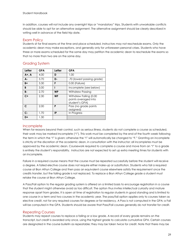In addition, courses will not include any overnight trips or "mandatory" trips. Students with unworkable conflicts should be able to opt for an alternative assignment. The alternative assignment should be clearly described in writing well in advance of the field trip date.

## <span id="page-28-0"></span>Exam Policy

Students sit for final exams at the time and place scheduled. Instructors may not reschedule exams. Only the academic dean may make exceptions, and generally only for unforeseen personal crises. Students who have three or more exams scheduled for the same day may petition the academic dean to reschedule the exams so that no more than two are on the same day.

| Letter       | <b>GPA</b> | Letter    | <b>GPA</b>                                                       |
|--------------|------------|-----------|------------------------------------------------------------------|
| $A+$ , $A$   | 4.00       | D         | 1.00                                                             |
| А-           | 3.70       | D-        | .70 (lowest passing grade)                                       |
| $B +$        | 3.30       | F         | 0.00 (Failure)                                                   |
| B            | 3.00       |           | Incomplete (see below)                                           |
| $B -$        | 2.70       | <b>WP</b> | <b>Withdrew Passing</b>                                          |
| $C+$         | 2.30       | WF        | Withdrew Failing (0.00<br>points averaged into<br>student's GPA) |
| C            | 2.00       | P         | Pass (no grade points<br>assigned)                               |
| $\mathsf{C}$ | 1.70       | IP        | In Progress                                                      |
| D+           | 1.30       |           |                                                                  |

## <span id="page-28-1"></span>Grading System

## <span id="page-28-2"></span>Incomplete

When for reasons beyond their control, such as serious illness, students do not complete a course as scheduled, their work may be marked Incomplete ("I"). This work must be completed by the end of the fourth week following the term in which the "I" is given; otherwise the "I" will automatically be changed to "F." Granting an incomplete is strictly at the discretion of the academic dean, in consultation with the instructor; all incompletes must be approved by the academic dean. Coursework required to complete a course and move from an "I" to a grade is entirely the student's responsibility. Instructors are not expected to set up extra meeting times for students with an Incomplete.

Failure in a required course means that the course must be repeated successfully before the student will receive a degree. A failed elective course does not require either make-up or substitution. Students who fail a required course at Bryn Athyn College and then pass an equivalent course elsewhere satisfy the requirement once the credits transfer, but the failing grade is not replaced. To replace a Bryn Athyn College grade a student must retake the course at Bryn Athyn College.

A Pass/Fail option to the regular grading system is offered on a limited basis to encourage registration in a course that the student might otherwise avoid as too difficult. The option thus invites intellectual curiosity and mature response apart from grades. It is open at time of registration to regular students in good standing and is limited to one course in a term and two courses in the academic year. The pass/fail option applies only to courses taken as elective credit, not for any required courses for degrees or for residency. A Pass is not computed in the GPA; a Fail will be computed in the GPA. Students should be aware that Pass/Fail courses generally do not transfer for credit.

## <span id="page-28-3"></span>Repeating Courses

Students may repeat courses to replace a failing or a low grade. A record of every grade remains on the transcript, but credit is awarded only once, using the highest grade to calculate cumulative GPA. Certain courses are designated in the course bulletin as repeatable; they may be taken twice for credit. Note that there may be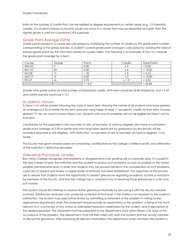limits on the number of credits that can be applied to degree requirements in certain areas (e.g., 12 internship credits). If a student chooses to receive credit only once in a course that may be repeated for credit, then the highest grade is used for cumulative GPA purposes.

## <span id="page-29-0"></span>Grade Point Average (GPA)

Grade points earned in a course are calculated by multiplying the number of credits by the grade point number corresponding to the grade earned. A student's overall grade point average is calculated by dividing the total of earned grade points by the total term credits of courses taken. The following is an example of how to compute the grade point average for a term:

| Course       | Grade | Points   | Credits | <b>Total Points</b> |
|--------------|-------|----------|---------|---------------------|
| Writ101      |       | 0.00     | xЗ      | $= 0.00$            |
| Bio110       | B+    | 3.30     | x 4     | $= 13.20$           |
| <b>Ed128</b> |       | . 70. ،  | xЗ      | $= 5.10$            |
| Hist117      | Α     | 4.00     | xЗ      | $= 12.00$           |
| PE127        | A-    | 3.70     | x 1.5   | $= 5.55$            |
|              |       | $= 14.5$ |         | $= 35.85$           |

(Divide total grade points by total number of attempted credits. GPA here would be 35.85 divided by 14.5 = 2.47, and credits earned would be 11.5.)

## <span id="page-29-1"></span>Academic Honors

A Dean's List will be posted following the close of each term showing the names of all students who have earned an average of 3.50 or better for the term and who have taken at least 11 academic credits for that term. Courses graded "P" do not count towards Dean's List. Students with any Incompletes will not be eligible for Dean's List for that term.

Candidates for the associate in arts, bachelor of arts, or bachelor of science degrees who have a cumulative grade point average of 3.50 or better and who have been approved for graduation by the faculty will be awarded associate in arts degrees "with distinction" or bachelor of arts or bachelor of science degrees "cum laude."

The faculty may grant awards based on scholarship, contributions to the college's intellectual life, and affirmation of the institution's distinctive principles.

## <span id="page-29-2"></span>Grievance Procedure: Grades

Bryn Athyn College recognizes that problems or disagreements over grading will occasionally arise. It is usually in the best interest of both the institution and the student to resolve such problems as soon as possible at the lowest possible administrative level. In order that students may be assured fairness in the consideration of such problems, a process of appeal and review to higher levels of authority has been established. The objectives of this process are to ensure that students have the opportunity to present grievances regarding academic actions or inactions by members of the faculty, and that the college has a consistent way of resolving those grievances in a fair and just manner.

The student should first attempt to resolve his/her grievance informally by discussing it with the faculty member involved. Satisfactory resolution can usually be achieved at that level. If the matter is not resolved to the student's satisfaction, the student may seek further review by submitting a statement of the problem in writing to the appropriate department chair. The statement should include an explanation of the problem, a listing of the facts relevant to it, a summary of any action or attempted resolution undertaken by the student, and a description of the desired resolution. The statement must be presented to the department chair within fifteen (15) days of the occurrence of the problem. The department chair will then meet with both the student and the faculty member to discuss the grievance. After reviewing all relevant information, the department chair will inform the student in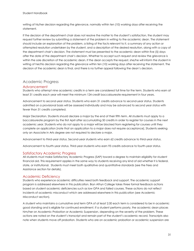writing of his/her decision regarding the grievance, normally within ten (10) working days after receiving the statement.

If the decision of the department chair does not resolve the matter to the student's satisfaction, the student may request further review by submitting a statement of the problem in writing to the academic dean. The statement should include an explanation of the problem, a listing of the facts relevant to it, a summary of any action or attempted resolution undertaken by the student, and a description of the desired resolution, along with a copy of the department chair's decision. The statement must be presented to the academic dean within five (5) days after the date of the department chair's decision. Whether to accept such request and review the grievance is within the sole discretion of the academic dean. If the dean accepts the request, she/he will inform the student in writing of her/his decision regarding the grievance within ten (10) working days after receiving the statement. The decision of the academic dean is final, and there is no further appeal following the dean's decision.

## <span id="page-30-0"></span>Academic Progress

#### <span id="page-30-1"></span>Advancement

Students who attempt nine academic credits in a term are considered full time for the term. Students who earn at least 31 credits each year will meet the minimum 124-credit baccalaureate requirement in four years.

Advancement to second-year status. Students who earn 31 credits advance to second-year status. Students admitted on a provisional basis will be assessed individually and may be advanced to second year status with fewer than 31 credits completed.

Major Declaration. Students should declare a major by the end of their fifth term. All students must apply to a baccalaureate program by the first April after accumulating 50 credits in order to register for courses in the next academic year. Students who do not apply to a major will be blocked from registering for courses until they complete an application [note that an application to a major does not require acceptance]. Students seeking only an Associate in Arts degree are not required to declare a major.

Advancement to third-year status. Second-year students who earn 62 credits advance to third-year status.

Advancement to fourth-year status. Third-year students who earn 93 credits advance to fourth-year status.

#### <span id="page-30-2"></span>Satisfactory Academic Progress

All students must make Satisfactory Academic Progress (SAP) toward a degree to maintain eligibility for student financial aid. This requirement applies in the same way to students receiving any kind of aid whether it is federal, state, or institutional. Students must meet both qualitative and quantitative standards (see the Fees and Assistance section for details).

#### <span id="page-30-3"></span>Academic Deficiency

Students who experience academic difficulties need both feedback and support. The academic support program is addressed elsewhere in this publication. Bryn Athyn College takes three formal feedback actions based on student academic deficiencies such as low GPA and failed courses. These actions do not reflect incidents of academic misconduct which are addressed elsewhere in this publication (see Academic Misconduct section).

A student who maintains a cumulative and term GPA of at least 2.00 each term is considered to be in academic good standing and is eligible for continued enrollment. If a student performs poorly, the academic dean places him/her on Academic Probation or Academic Suspension, depending on the severity of the problem. These actions are noted on the student's transcript and remain part of the student's academic record. Transcripts also note when students move off probation. Students who are on academic probation or academic suspension are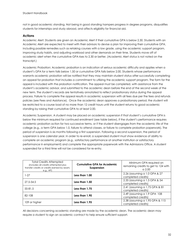not in good academic standing. Not being in good standing hampers progress in degree programs, disqualifies students for internships and study abroad, and affects eligibility for financial aid.

#### **Actions**

Academic Alert: Students are given an Academic Alert if their cumulative GPA is below 2.30. Students with an Academic Alert are expected to meet with their advisors to devise a plan for improving their cumulative GPA, including possible remedies such as retaking courses with a low grade, using the academic support program, improving study habits, and adjusting workload and other demands on their time. Students move off of academic alert when the cumulative GPA rises to 2.30 or better. (Academic Alert status is not noted on the transcript.)

Academic Probation: Academic probation is an indication of serious academic difficulty and applies when a student's GPA for a term falls below 1.50 or cumulative GPA falls below 2.00. Students whose performance warrants academic probation will be notified that they may maintain student status after successfully completing an appeal for probation that includes a commitment to utilizing the academic support program. The form for the appeal is included with the probation notification. The appeal must be completed, with assistance from the student's academic advisor, and submitted to the academic dean before the end of the second week of the new term. The student's records are tentatively annotated to reflect probationary status during the appeal process. Failure to complete the appeal results in academic suspension with all fees due per the fees and refunds policies (see Fees and Assistance). Once the academic dean approves a probationary period, the student will be restricted to a course load of no more than 12 credit hours until the student returns to good academic standing by raising their cumulative GPA to at least 2.00.

Academic Suspension. A student may be placed on academic suspension if that student's cumulative GPA is below the minimum required for continued enrollment (see table below), if the student's performance requires academic probation action for two successive terms, or if the student disengages from the academic life of the college (e.g., a term GPA below 1.0, failure to attend classes, or failure to complete probation paperwork). The period of suspension is six months following a first suspension. Following a second suspension, the period of suspension is one calendar year. In order to re-enroll, a suspended student must show evidence of ability to complete an academic program (e.g., satisfactory performance at another institution or satisfactory performance in employment) and complete the appropriate paperwork with the Admissions Office. A student suspended for a third time will not be considered for re-entry.

| <b>Total Credits Attempted</b><br>(includes all credits attempted plus<br>transfer credits or credits earned by exam,<br>e.g., AP) | <b>Cumulative GPA for Academic</b><br>Suspension | Minimum GPA required on<br>remaining credits to get to 124 with<br>$\alpha$ 2.00 |
|------------------------------------------------------------------------------------------------------------------------------------|--------------------------------------------------|----------------------------------------------------------------------------------|
| $1-27$                                                                                                                             | Less than 1.00                                   | 2.26 (assuming a 1.0 GPA & 27<br>completed credits)                              |
| 27.5-54.5                                                                                                                          | Less than 1.50                                   | 2.35 (assuming a 1.5 GPA & 54<br>completed credits)                              |
| 55-81.5                                                                                                                            | Less than 1.75                                   | 2.41 (assuming a 1.75 GPA & 81<br>completed credits)                             |
| 82-108                                                                                                                             | Less than 1.90                                   | 2.49 (assuming a 1.9 GPA 108<br>completed credits)                               |
| 109 or higher                                                                                                                      | Less than 1.95                                   | 2.38 (assuming a 1.95 GPA & 115<br>completed credits)                            |

All decisions concerning academic standing are made by the academic dean. The academic dean may require a student to sign an academic contract to help ensure sufficient support.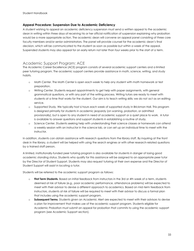#### **Appeal Procedure: Suspension Due to Academic Deficiency**

A student wishing to appeal an academic deficiency suspension must send a written appeal to the academic dean in writing within three days of receiving his or her official notification of suspension explaining why probation would be a more appropriate action. The academic dean will convene an appeal panel consisting of three core faculty members and/or senior administrators. The panel will provide counsel for the academic dean's final decision, which will be communicated to the student as soon as possible but within a week of the appeal. Suspended students may also appeal for an early return not later than four weeks prior to the start of a term.

## <span id="page-32-0"></span>Academic Support Program: ACE

The Academic Career Excellence (ACE) program consists of several academic support centers and a limited peer tutoring program. The academic support centers provide assistance in math, science, writing, and study habits.

- o Math Center. The Math Center is open each week to help any student with math homework or test preparation.
- o Writing Center. Students request appointments to get help with paper assignments, with general grammatical questions, or with any part of the writing process. Writing tutors are ready to meet with students at a time that works for the student. Our aim is to teach writing skills; we do not act as an editing service.
- o Supported Study. We typically host 6 hours each week of supported study in Brickman Hall. This program is designed primarily for students in academic jeopardy (on warning, probation, or admitted provisionally), but is open to any student in need of academic support or a quiet place to work. A tutor is available to answer questions and support students in establishing a routine of study.
- o Science Center. Students seeking help with understanding their science classes or homework can attend a weekly session with an instructor in the science lab, or can set up an individual time to meet with the instructor.

In addition, students can obtain assistance with research questions from the library staff. By inquiring at the front desk in the library, a student will be helped with using the search engines or with other research-related questions by a trained staff person.

A limited, institutionally-funded peer tutoring program is also available for students in danger of losing good academic standing status. Students who qualify for this assistance will be assigned to an appropriate peer tutor by the Director of Student Support. Students may also request tutoring at their own expense and the Director of Student Support will assist in locating a tutor.

Students will be referred to the academic support program as follows:

- o **First Term Students.** Based on initial feedback from instructors in the 3rd or 4th week of a term, students deemed at risk of failure (e.g., poor academic performance, attendance problems) will be expected to meet with their advisor to devise a different approach to academics. Based on mid-term feedback from instructors, students at risk of failure will be required to meet with their advisor to discuss a formal plan that includes using the academic support program.
- o **Subsequent Terms**. Students given an Academic Alert are expected to meet with their advisors to devise a plan for improvement that makes use of the academic support program. Students eligible for Academic Probation must submit an appeal for probation that commits to using the academic support program (see Academic Support section).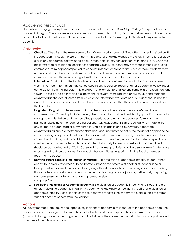## <span id="page-33-0"></span>Academic Misconduct

Students who engage in any form of academic misconduct fail to meet Bryn Athyn College's expectations for academic integrity. There are several categories of academic misconduct, discussed further below. Students are responsible for knowing what constitutes academic misconduct and for seeking clarification if they are unclear about it.

## <span id="page-33-1"></span>**Categories**

- a. **Cheating.** Cheating is the misrepresentation of one's work or one's abilities, often in a testing situation. It includes such things as the use of impermissible and/or unacknowledged materials, information, or study aids in any academic activity. Using books, notes, calculators, conversations with others, etc. when their use is restricted or forbidden, constitutes cheating. Similarly, students may not request others (including commercial term paper companies) to conduct research or prepare any work for them. Students may not submit identical work, or portions thereof, for credit more than once without prior approval of the instructor to whom the work is being submitted for the second or subsequent time.
- b. **Fabrication.** Fabrication is the falsification or invention of any information or citation in an academic work. "Invented" information may not be used in any laboratory report or other academic work without authorization from the instructor. It is improper, for example, to analyze one sample in an experiment and "invent" data based on that single experiment for several more required analyses. Students must also acknowledge the actual source from which cited information was obtained. A student should not, for example, reproduce a quotation from a book review and claim that the quotation was obtained from the book itself.
- c. **Plagiarism.** Plagiarism is the representation of the words or ideas of another as one's own in any academic work. To avoid plagiarism, every direct quotation must be identified by quotation marks or by appropriate indentation and must be cited properly according to the accepted format for the particular discipline or the teacher's instructions. Acknowledgment is also required when material from any source is paraphrased or summarized in whole or in part in one's own words. A footnote acknowledging only a directly quoted statement does not suffice to notify the reader of any preceding or succeeding paraphrased material. Information that is common knowledge, such as names of leaders of prominent nations, basic scientific laws, etc., need not be cited; in addition to materials specifically cited in the text, other materials that contribute substantially to one's understanding of the subject should be acknowledged as Works Consulted. Sometimes plagiarism can be a subtle issue. Students are encouraged to discuss any questions about what constitutes plagiarism with the faculty member teaching the course.
- d. **Denying others access to information or material.** It is a violation of academic integrity to deny others access to scholarly resources or to deliberately impede the progress of another student or scholar. Examples of violations of this type include giving other students false or misleading information; making library material unavailable to others by stealing or defacing books or journals; deliberately misplacing or destroying reserve materials; and altering someone else's computer files.
- e. **Facilitating Violations of Academic Integrity.** It is a violation of academic integrity for a student to aid others in violating academic integrity. A student who knowingly or negligently facilitates a violation of academic integrity is as culpable as the student who receives the impermissible aid, even if the former student does not benefit from the violation.

## <span id="page-33-2"></span>**Actions**

All faculty members are required to report every incident of academic misconduct to the academic dean. The academic dean, or designee, discusses the incident with the student, explains the academic repercussion (automatic failing grade for the assignment; possible failure of the course per the instructor's course policy), and takes one of the following actions: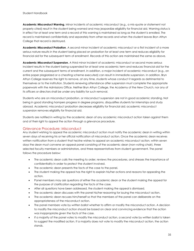**Academic Misconduct Warning.** Minor incidents of academic misconduct (e.g., a mis-quote or statement not properly cited) result in the student being warned and may jeopardize eligibility for financial aid. Warning status is in effect for at least one term and a record of this warning is maintained as long as the student is enrolled. The record is maintained confidentially and separately from other records and when the student leaves Bryn Athyn College that record is destroyed.

**Academic Misconduct Probation**. A second minor incident of academic misconduct or a first incident of a more serious nature results in the student being placed on probation for at least one term and reduces eligibility for financial aid for the subsequent term of enrollment. Records of this action are maintained the same as above.

**Academic Misconduct Suspension.** A third minor incident of academic misconduct or second more serious incident results in the student being suspended for at least one academic term and reduces financial aid for the current and the subsequent terms of enrollment. In addition, a major incident of academic misconduct (e.g., an entire paper plagiarized or a cheating scheme executed) can result in immediate suspension. In addition, Bryn Athyn College reserves the right to remove, at any time, students whose conduct it regards as detrimental to themselves or to the institution. Students renewing attendance after suspension must complete the appropriate paperwork with the Admissions Office. Neither Bryn Athyn College, the Academy of the New Church, nor any of its officers or directors shall be under any liability for such removal.

Students who are on misconduct probation, or misconduct suspension are not in good academic standing. Not being in good standing hampers progress in degree programs, disqualifies students for internships and study abroad. Academic misconduct probation decreases eligibility for financial aid; academic misconduct suspension removes eligibility for financial aid.

Students are notified in writing by the academic dean of any academic misconduct action taken against them and of their right to appeal the action through a grievance procedure.

#### <span id="page-34-0"></span>Grievance Procedure: Misconduct

Any student wishing to appeal the academic misconduct action must notify the academic dean in writing within seven days of receiving his or her official notification of misconduct action. Once the academic dean receives written notification from a student that he/she wishes to appeal an academic misconduct action, within seven days the dean must convene an appeal panel consisting of the academic dean (non-voting chair), three selected faculty members or administrators, and three representatives from student government. The panel follows the procedure below:

- The academic dean calls the meeting to order, reviews the procedures, and stresses the importance of confidentiality in order to protect the student involved.
- The academic dean presents the facts of the case to the panel.
- The student making the appeal has the right to explain his/her actions and reasons for appealing the action.
- Panel members may ask questions of either the academic dean or the student making the appeal for the purpose of clarification regarding the facts of the case.
- After all questions have been addressed, the student making the appeal is dismissed.
- The academic dean discusses with the panel his/her reasoning for issuing the misconduct action.
- The academic dean recuses him/herself so that the members of the panel can deliberate on the appropriateness of the misconduct action.
- The panel members vote by written ballot whether to affirm or modify the misconduct action. A decision to modify the misconduct action should be based on clear and convincing evidence that the action was inappropriate given the facts of the case.
- If a majority of the panel votes to modify the misconduct action, a second vote by written ballot is taken to suggest the modified action. If a majority does not vote to modify the misconduct action, the action stands.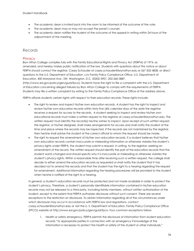- The academic dean is invited back into the room to be informed of the outcome of the vote.
- The academic dean may or may not accept the panel's counsel.
- The academic dean notifies the student of the outcome of the appeal in writing within 24 hours of the adjournment of the meeting.

## <span id="page-35-0"></span>Records

#### <span id="page-35-1"></span>**Privacy**

Bryn Athyn College complies fully with the Family Educational Rights and Privacy Act (FERPA) of 1974, as amended, and hereby makes public notification of the law. Students with questions about this notice or about FERPA should contact the registrar, Casey Schauder at casey.schauder@brynathyn.edu or 267-502-4828, or direct questions to the U.S. Department of Education, c/o Family Policy Compliance Office, U.S. Department of Education, 400 Maryland Ave., SW, Washington, D.C. 20202-5901, 202-260-3887,

(http://www.ed.gov/policy/gen/guid/fpco). Students have the right to file a complaint with the U.S. Department of Education concerning alleged failures by Bryn Athyn College to comply with the requirements of FERPA. Students may file a written complaint by writing to the Family Policy Compliance Office at the address above.

FERPA affords students certain rights with respect to their education records. These rights include:

- The right to review and inspect his/her own education records. A student has the right to inspect and review his/her own education records within forty-five (45) calendar days of the date the registrar receives a request for access to the records. A student seeking to inspect and review his/her own educational records must make a written request to the registrar at casey.schauder@brynathyn.edu. The written request must identify the record(s) he/she wishes to inspect. Upon receipt of such written request, the registrar, or his/her designee, shall make arrangements for access and shall notify the student of the time and place where the records may be inspected. If the records are not maintained by the registrar, then he/she shall advise the student of the correct official to whom the request should be made.
- The right to request the amendment of his/her own education records. If a student believes that his/her own education records contain inaccurate or misleading information or otherwise violates the student's privacy rights under FERPA, the student may submit a request, in writing, to the registrar, seeking an amendment of the record. The written request should identify the part of the education records that the student wants changed and should specify why it is inaccurate or misleading or otherwise violates the student's privacy rights. Within a reasonable time after receiving such a written request, the college shall decide to either amend the education records as requested or shall notify the student that it has decided not to amend the records and that the student has the right to a hearing regarding the request for amendment. Additional information regarding the hearing procedures will be provided to the student when he/she is notified of the right to a hearing.

In general, a student's education records must be protected and not made available in order to protect the student's privacy. Therefore, a student's personally identifiable information contained in his/her education records may not be released to a third party, including family members, without written authorization of the student, except to the extent that FERPA authorizes disclosure without such consent. There are several exceptions to the restriction on disclosure. To obtain information regarding all of the circumstances under which disclosure may occur in accordance with FERPA law and regulations, contact casey.schauder@brynathyn.edu or visit the U. S. Department of Education, Family Policy Compliance Office (FPCO) website at http://www.ed.gov/policy/gen/guid/fpco. Four common exceptions follow:

1. Health or safety emergency. FERPA permits the disclosure of information from student education records "to appropriate parties in connection with an emergency if knowledge of the information is necessary to protect the health or safety of the student or other individuals."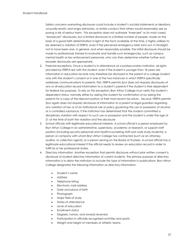Safety concerns warranting disclosure could include a student's suicidal statements or ideations, unusually erratic and angry behaviors, or similar conduct that others would reasonably see as posing a risk of serious harm. This exception does not authorize "knee-jerk" or (in most cases) "broadcast" disclosures, but a limited disclosure to a limited number of people, made on the basis of a good-faith determination in light of the facts available at the time, is highly unlikely to be deemed a violation of FERPA, even if the perceived emergency later turns out, in hindsight, not to have been one. In general, and when reasonably possible, the initial disclosure should be made to professionals trained to evaluate and handle such emergencies, such as campus mental health or law enforcement personnel, who can then determine whether further and broader disclosures are appropriate.

- 2. Parental exceptions. Once a student is in attendance at a postsecondary institution, all rights provided by FERPA rest with the student, even if the student is younger than 18 years old. Information in education records may therefore be disclosed to the parent of a college student only with the student's consent or in one of the two instances in which FERPA specifically addresses communications to parents. First, FERPA permits (but does not require) disclosures of any or all education record information to a student's parents if the student is their dependent for federal tax purposes. To rely on this exception, Bryn Athyn College must verify the student's dependent status, normally either by asking the student for confirmation or by asking the parents for a copy of the relevant portion of their most recent tax return. Second, FERPA permits (but again does not require) disclosure of information to a parent or legal guardian regarding any violation of law or of an institutional rule or policy governing the use or possession of alcohol or a controlled substance, if the institution has determined that the student committed a disciplinary violation with respect to such use or possession and the student is under the age of 21 at the time of both the violation and the disclosure.
- 3. School officials with legitimate educational interests. A school official is a person employed by Bryn Athyn College in an administrative, supervisory, academic or research, or support staff position (including security personnel and health/counseling staff and work study students); a person or company with whom Bryn Athyn College has contracted (such as an attorney, auditor, or collection agent); or a person serving on the Board of Trustees. A school official has a legitimate educational interest if the official needs to review an education record in order to fulfill his or her professional duties.
- 4. Directory information. Another exception that permits disclosure without prior written consent is disclosure of student directory information of current students. The primary purpose of directory information is to allow the institution to include this type of information in publications. Bryn Athyn College designates the following information as directory information:
	- Student's name
	- Address
	- Telephone listing
	- Electronic mail address
	- Date and place of birth
	- Photograph
	- Major field of study
	- Dates of attendance
	- Level of education
	- Enrollment status
	- Degrees, honors, and awards received
	- Participation in officially recognized activities and sports
	- Weight and height of members of athletic teams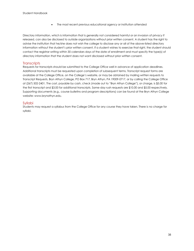• The most recent previous educational agency or institution attended

Directory information, which is information that is generally not considered harmful or an invasion of privacy if released, can also be disclosed to outside organizations without prior written consent. A student has the right to advise the institution that he/she does not wish the college to disclose any or all of the above-listed directory information without the student's prior written consent. If a student wishes to exercise that right, the student should contact the registrar writing within 30 calendars days of the date of enrollment and must specify the type(s) of directory information that the student does not want disclosed without prior written consent.

#### <span id="page-37-0"></span>**Transcripts**

Requests for transcripts should be submitted to the College Office well in advance of application deadlines. Additional transcripts must be requested upon completion of subsequent terms. Transcript request forms are available at the College Office, on the College's website, or may be obtained by mailing written requests to Transcript Requests, Bryn Athyn College, PO Box 717, Bryn Athyn, PA 19009-0717, or by calling the College Office at (267) 502-2401. The cost, payable by cash, check (made out to "Bryn Athyn College"), or charge, is \$5.00 for the first transcript and \$3.00 for additional transcripts. Same-day rush requests are \$10.00 and \$5.00 respectively. Supporting documents (e.g., course bulletins and program descriptions) can be found at the Bryn Athyn College website: www.brynathyn.edu.

#### <span id="page-37-1"></span>Syllabi

Students may request a syllabus from the College Office for any course they have taken. There is no charge for syllabi.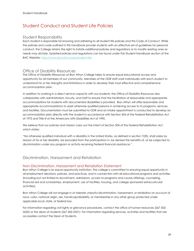# <span id="page-38-0"></span>Student Conduct and Student Life Policies

#### <span id="page-38-1"></span>Student Responsibility

Each student is responsible for knowing and adhering to all student life policies and this Code of Conduct. While the policies and code outlined in this handbook provide students with an effective set of guidelines for personal conduct, the College retains the right to instate additional policies and regulations or to modify existing ones as needs may dictate. Updated policies and regulations can be found under the Student Handbook section of the BAC Website:<http://www.brynathyn.edu/student-life>

## <span id="page-38-2"></span>Office of Disability Resources

The Office of Disability Resources at Bryn Athyn College helps to ensure equal educational access and opportunity for all members of our community. Members of the ODR staff work individually with each student to understand his or her strengths and limitations in order to develop their most effective and comprehensive accommodation plan.

In addition to working in a direct service capacity with our students, the Office of Disability Resources also collaborates with administrators, faculty, and staff to ensure that the facilitation of reasonable and appropriate accommodations for students with documented disabilities is provided. Bryn Athyn will offer reasonable and appropriate accommodations to assist otherwise qualified persons in achieving access to its programs, services, and facilities. Documentation must be submitted to ODR and an intake appointment is conducted to develop an accommodation plan directly with the student in accordance with Section 504 of the Federal Rehabilitation Act of 1973 and Title III of the Americans with Disabilities Act of 1990.

We believe that our policies and mission carry out the intent of Section 504 of the Federal Rehabilitation Act, which states:

"No otherwise qualified individual with a disability in the United States, as defined in section 7(20), shall solely by reason of his or her disability, be excluded from the participation in, be denied the benefits of, or be subjected to discrimination under any program or activity receiving Federal financial assistance.".

## <span id="page-38-3"></span>Discrimination, Harassment and Retaliation

## <span id="page-38-4"></span>Non-Discrimination, Harassment and Retaliation Statement

Bryn Athyn College is an equal opportunity institution. The college is committed to ensuring equal opportunity in all employment decisions, policies, and practices, and in connection with all educational programs and activities (including but not limited to recruitment, admissions, access to programs and course offerings, counseling, financial aid and scholarships, employment, use of facilities, housing, and college-sponsored extracurricular activities).

Bryn Athyn College will not engage in or tolerate unlawful discrimination, harassment, or retaliation on account of race, color, national origin, sex, handicap/disability, or membership in any other group protected under applicable local, state, or federal law.

For information regarding civil rights or grievance procedures, contact the office of human resources (267-502- 2632) or the dean of students (267-502-2551). For information regarding services, activities and facilities that are accessible contact the Dean of Students.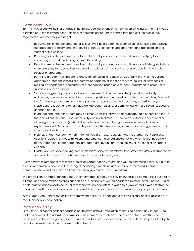#### <span id="page-39-0"></span>Harassment Policy

Bryn Athyn College will neither engage in nor tolerate sexual or any other form of unlawful harassment. By way of example only, the following behaviors and/or communications are inappropriate and as such prohibited, regardless of whether they are illegal:

- Requiring sex or the performance of sexual favors by a student as a condition for satisfying successfully the academic requirements for a course of study or for continued enrollment and participation as a student of the college.
- Requiring sex or the performance of sexual favors by a student as a condition for qualifying for or continuing in a work study program with the college.
- Requiring sex or the performance of sexual favors by a student as a condition for establishing eligibility for or enjoying any term, condition, or benefit associated with any of the college's academic or student services or programs.
- Punishing a student with regard to any term, condition, or benefit associated with any of the college's academic or student services or programs because he or she did not submit to sexual advances or making any academic, disciplinary, or other decision based on a student's submission to or refusal to submit to sexual advances.
- Sexual or suggestive pictures, photos, cartoons, emails, Internet web sites, jokes, slurs, profanity, nicknames, conversations, questions, innuendo (verbal and non-verbal), objects, and symbols; frequent and/or inappropriate comments on appearance; repeated requests for dates; excessive and/or inappropriate touch; and other inappropriate behaviors and/or communications of a sexual, suggestive, or biased nature.
- In educational instruction, there may be times when sexuality is an appropriate topic of conversation. In these situations, the discussions of sexuality and related issues (1) should be limited to educational or other legitimate purpose; (2) should be professional without being excessive in terms of focus or explicitness; and (3) should not include profanity, offensive wording or insinuation or suggestive, explicit or inappropriate humor.
- Pictures, photos, cartoons, emails, Internet web sites, jokes, slurs, epithets, nicknames, conversations, questions, objects, symbols, imitations, and other communications/behaviors which reflect negatively upon, stereotype, or disparage any protected group, e.g., any race, color, sex, national origin, age, or disability.
- Hostile, abusive or demeaning communications or behaviors related to a protected group or directed at someone because of his or her membership in a protected group.

It is important to remember that these prohibitions apply not only to oral and written communications, but also to electronic communications via the college's technology, which includes email and voicemail, Internet communications and searches, and other technology-assisted communications.

The prohibitions on inappropriate behavior set forth above apply not only on the college campus itself but also to all other academic-related settings, such as on-site locations as well as academic-related social functions. It is of no defense to inappropriate behavior that there was no bad intent, it was only a joke, or that it was not directed at any person. It is also important to keep in mind that these are only some examples of inappropriate behavior.

Any student who violates the college's harassment policy will be subject to the disciplinary actions described in the Disciplinary Action section.

## <span id="page-39-1"></span>Retaliation Policy

Bryn Athyn College will neither engage in nor tolerate unlawful retaliation of any kind against any student who makes a complaint of unlawful discrimination, harassment, or retaliation, serves as a witness, or otherwise participates in the investigatory process. As with all other provisions of this policy, all students are protected by this provision as well as restricted in terms of what they do.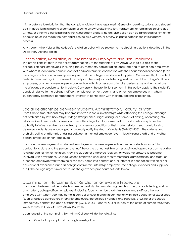It is no defense to retaliation that the complaint did not have legal merit. Generally speaking, so long as a student acts in good faith in making a complaint alleging unlawful discrimination, harassment, or retaliation, serving as a witness, or otherwise participating in the investigatory process, no adverse action can be taken against him or her because he or she made the complaint, served as a witness, or otherwise participated in the investigatory process.

Any student who violates the college's retaliation policy will be subject to the disciplinary actions described in the Disciplinary Action section.

#### <span id="page-40-0"></span>Discrimination, Retaliation, or Harassment by Employees and Non-Employees

The prohibitions set forth in this policy apply not only to the students of Bryn Athyn College but also to the college's officers, employees (including faculty members, administration, and staff) and to other non-employees with whom students may come in contact and/or interact in connection with their educational experience (such as college contractors, internship employers, and the college's vendors and suppliers). Consequently, if a student feels discriminated against, harassed (sexually or otherwise), or retaliated against by one of the college's officers, employees, or other non-employee in connection with his or her educational experience, he or she should use the grievance procedure set forth below. Conversely, the prohibitions set forth in this policy apply to the student's conduct relative to the college's officers, employees, other students, and other non-employees with whom students may come into contact and/or interact in connection with their educational experience.

#### <span id="page-40-1"></span>Social Relationships between Students, Administration, Faculty, or Staff

From time to time, students may become involved in social relationships while attending the college. Although not prohibited by law, Bryn Athyn College strongly discourages dating (or attempts at dating) or entering into relationships of a romantic or sexual nature with college faculty, administration, or staff who may have the authority to influence, directly or indirectly, any term or condition of their student status. If such a relationship develops, students are encouraged to promptly notify the dean of students (267-502-2551). The college also prohibits dating or attempts at dating between a married employee (even if legally separated) and any other person, employee or non-employee.

If a student or employee asks a student, employee, or non-employee with whom he or she has come into contact for a date and the person says "no," he or she cannot ask him or her again and again. Nor can he or she retaliate against him or her in any way. If a student or employee feels any unwelcome pressure to become involved with any student, College Officer, employee (including faculty members, administration, and staff), or other non-employee with whom he or she may come into contact and/or interact in connection with his or her educational experience (such as college contractors, internship employers, the college's vendors and suppliers, etc.), the college urges him or her to use the grievance procedure set forth below.

#### <span id="page-40-2"></span>Discrimination, Harassment, or Retaliation Grievance Procedure

If a student believes that he or she has been unlawfully discriminated against, harassed, or retaliated against by any student, college officer, employee (including faculty members, administration, and staff) or other nonemployee with whom you may come in contact and/or interact in connection with their educational experience (such as college contractors, internship employers, the college's vendors and suppliers, etc.), he or she should immediately contact the dean of students (267-502-2551) and/or Muriel Brisbon at the office of human resources, 267-502-6038, PO Box 743, Bryn Athyn, PA 19009.

Upon receipt of the complaint, Bryn Athyn College will do the following:

• Conduct a prompt and thorough investigation.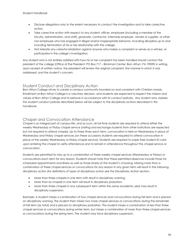- Disclose allegations only to the extent necessary to conduct the investigation and to take corrective action.
- Take corrective action with respect to any student, officer, employee (including a member of the faculty, administration, and staff), graduate, contractor, internship employer, vendor or supplier, or other non-employee who has engaged in illegal and/or inappropriate behavior, including discipline up to and including termination of his or her relationship with the college.
- Not tolerate any unlawful retaliation against anyone who makes a complaint or serves as a witness, or participates in the college's investigation.

Any student who is not entirely satisfied with how his or her complaint has been handled should contact the president of the college (Office of the President, PO Box 717 – Brickman Center, Bryn Athyn, PA 19009) in writing. Upon receipt of written notice, the president will review the original complaint, the manner in which it was addressed, and the student's concern.

## <span id="page-41-0"></span>Student Conduct and Disciplinary Action

Bryn Athyn College strives to create a campus community founded on and consistent with Christian morals. Enrollment at Bryn Athyn College is a voluntary decision, and students are expected to respect the mission and values of Bryn Athyn College and to behave in accordance with its conduct policies. Any student who violates the student conduct policies described below will be subject to the disciplinary actions described in this handbook.

## <span id="page-41-1"></span>Chapel and Convocation Attendance

Chapel is an integral part of campus life, and as such, all full-time students are required to attend either the weekly Wednesday or Friday chapel service (visiting and exchange students from other institutions are expected but not required to attend chapel). Up to three times each term, convocation is held on Wednesday in place of Wednesday and Friday chapel services (on these occasions students are required to attend convocation in place of the weekly Wednesday or Friday chapel service). Students are required to swipe their student ID card upon entering the chapel to verify attendance and to remain in attendance throughout the chapel service or convocation.

Students are permitted to miss up to a combination of three weekly chapel services (Wednesday or Friday) or convocations each term for any reason. Students should note that these permitted absences include those for scheduled appointments and illness as well as those simply at the student's choosing. Missing more than a combination of three chapel services or convocations for any reason in any given term will result in the following disciplinary action (for definitions of types of disciplinary action see the Disciplinary Action section:

- More than three chapels in one term with result in disciplinary warning.
- More than six chapels in one term will result in disciplinary probation.
- More than three chapels in any subsequent term within the same academic year may result in disciplinary suspension.

Example: A student misses a combination of four chapel services and convocations during fall term and is placed on disciplinary warning. The student then misses two more chapel services or convocations during the remainder of fall term (six total) and is placed on disciplinary probation. The student misses a combination of less than three chapel services or convocations during winter term, but misses a combination of more than three chapel services or convocations during the spring term. The student may face disciplinary suspension.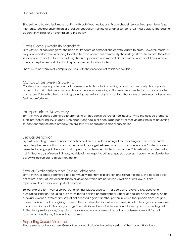Students who have a legitimate conflict with both Wednesday and Friday chapel services in a given term (e.g. internship, required observation or practical education training at another school, etc.) must apply to the dean of students in writing for an exemption to this policy.

## <span id="page-42-0"></span>Dress Code (Modesty Standard)

Bryn Athyn College recognizes the need for freedom of personal choice with regard to dress. However, modesty plays an important role in helping to foster the type of campus community the college strives to create. Therefore, students are expected to wear clothing that is appropriate and modest. Shirts must be worn at all times in public areas, except when participating in sports or recreational activities.

Shoes must be worn in all campus facilities, with the exception of residence facilities.

## <span id="page-42-1"></span>Conduct between Students

Courteous and appropriate conduct between students is vital in creating a campus community that supports respectful, charitable interaction and honors the ideals of marriage. Students are expected to act appropriately and respectfully with others, including avoiding behavior or physical contact that draws attention or makes others feel uncomfortable.

#### <span id="page-42-2"></span>Inappropriate Advocacy

Bryn Athyn College is committed to promoting an academic culture of free inquiry. While the college promotes such intellectual inquiry, students who openly engage in or encourage behavior that violates the rules governing student conduct or, more broadly, the civil law, will be subject to disciplinary action.

#### <span id="page-42-3"></span>Sexual Behavior

Bryn Athyn College strives to uphold ideals based on our understanding of the teachings for the New Church regarding the preparation for and protection of marriage between one man and one woman. Students are not permitted to engage in behavior that appears to undermine this ideal of marriage. This behavior includes but is not limited to acts of sexual intimacy outside of marriage, including engaged couples. Students who violate the policy will be subject to disciplinary action.

## <span id="page-42-4"></span>Sexual Exploitation and Sexual Violence

Bryn Athyn College is committed to a community free from exploitation and sexual violence. The college does not tolerate acts of sexual exploitation or violence, which are not only a violation of civil law, but are reprehensible as moral and spiritual disorders.

Sexual exploitation involves sexual behavior that places a person in a degrading, exploitative, abusive, or humiliating situation, including but not limited to posting photographs or videos of a sexual nature online. An act of sexual violence involves any sexual act directed against another person in which that person does not give consent or is incapable of giving consent. This includes situations where a person is not able to give consent due to consumption of alcohol and/or drugs. The definition of sexual violence can take many forms, including but limited to rape/date rape/acquaintance rape and non-consensual sexual contact/sexual assault (sexual touching or fondling by force without consent).

#### <span id="page-42-5"></span>Reporting Sexual Violence

Please see Sexual Harassment/Sexual Misconduct Policy in the online version of the Student Handbook.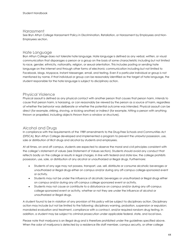#### <span id="page-43-0"></span>Harassment

See Bryn Athyn College Harassment Policy in Discrimination, Retaliation, or Harassment by Employees and Non-Employees section.

#### <span id="page-43-1"></span>Hate Language

Bryn Athyn College does not tolerate hate language. Hate language is defined as any verbal, written, or visual communication that disparages a person or a group on the basis of some characteristic including but not limited to race, gender, ethnicity, nationality, religion, or sexual orientation. This includes posting or sending hate language on the internet and through other forms of electronic communication including but not limited to Facebook, blogs, Myspace, Instant Messenger, email, and texting. Even if a particular individual or group is not mentioned by name, if that individual or group can be reasonably identified as the target of hate language, the student responsible for the hate language is subject to disciplinary action.

## <span id="page-43-2"></span>Physical Violence

Physical assault is defined as any physical contact with another person that causes that person harm, intends to cause that person harm, is harassing, or can reasonably be viewed by the person as a source of harm, regardless of whether the behavior was deliberate or whether the potential outcome was intended. Physical assault can be direct (for example, striking, shoving, or kicking another) or indirect (for example, hitting a person with anything thrown or propelled, including objects thrown from a window or structure).

## <span id="page-43-3"></span>Alcohol and Drugs

In compliance with the requirements of the 1989 amendments to the Drug-Free Schools and Communities Act (DFSCA), Bryn Athyn College developed and implemented a program to prevent the unlawful possession, use, sale or distribution of illicit drugs and alcohol by students and employees.

At all times, on and off campus, students are expected to observe the moral and civil principles consistent with the college's statement of values (see Statement of Values section). Students should avoid any conduct that reflects badly on the college or results in legal charges. In line with federal and state law, the college prohibits possession, use, sale, or distribution of any alcohol or unauthorized or illegal drugs. Furthermore:

- Students of any age may not possess, transport, use, sell, distribute or consume alcoholic beverages or unauthorized or illegal drugs either on campus and/or during any off-campus college-sponsored event or activity.
- Students may not be under the influence of alcoholic beverages or unauthorized or illegal drugs either on campus and/or during any off-campus college sponsored event or activity.
- Students may not cause or contribute to a disturbance on campus and/or during any off-campus college-sponsored event or activity, whether or not they are under the influence of alcohol or unauthorized or illegal drugs.

A student found to be in violation of any provision of this policy will be subject to disciplinary action. Disciplinary action may include but not be limited to the following: disciplinary warning, probation, suspension or expulsion; mandated evaluation and treatment, compliance with a contract, and/or required random drug testing. In addition, a student may be subject to criminal prosecution under applicable federal, state, and local laws.

Please note that marijuana is an illegal drug and is therefore prohibited under the guidelines specified above. When the odor of marijuana is detected by a residence life staff member, campus security, or other college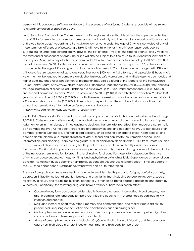personnel, it is considered sufficient evidence of the presence of marijuana. Students responsible will be subject to disciplinary action as specified above.

Legal Sanctions: The law of the Commonwealth of Pennsylvania states that it is unlawful for a person under the age of 21 to "attempt to purchase, consume, possess, or knowingly and intentionally transport any liquor or malt or brewed beverages." According to Pennsylvania law, anyone under the age of 21 who is convicted of any of these summary offenses or of possessing a fake ID will have his or her driving privilege suspended. License suspensions for underage drinking are: 90 days for the first offense, 1 year for the second offense, and 2 years for the third and all subsequent offenses. He or she will also be subject to a fine of up to \$500 and imprisonment of up to one year. Adults who buy alcohol for persons under 21 will receive a mandatory fine of up to \$1,000 - \$2,500 for the first offense and \$2,500 for the second or subsequent offenses. As part of Pennsylvania's "Zero Tolerance" law, anyone under the age of 21 driving with a blood alcohol content of .02 or higher can be charged with DUI and will face a license suspension of up to one year, fines up to \$500 for the first offense, and a possible 48 hours in jail. He or she may be required to complete an alcohol highway safety program and will likely assume court costs and higher auto insurance rates (supplemental information may also be found at the website for the Pennsylvania Liquor Control Board, http://www.lcb.state.pa.us.). Furthermore under federal law, 21 U.S.C. 844(a) the sanctions for illegal possession of a controlled substance are as follows: up to 1 year imprisonment and \$1,000 - \$100,000 fine; second conviction: 15 days - 2 years in prison, and \$2,500 - \$250,000, or both; three conviction: 90 days to 3 years in prison, a fine of \$5,000 - \$250,000, or both. However possession of cocaine based substances mandates 5 - 20 years in prison, and up to \$250,000, in fines or both, depending on the number of prior convictions and amount possessed. More information on federal law can be found at http://www.deadiversion.usdoj.gov/21cfr/21usc/844.htm.

Health Risks: There are significant health risks that accompany the use of alcohol or unauthorized or illegal drugs. 1,700 U.S. College students die annually in alcohol-related incidents. Alcohol affects coordination and impairs judgment even in small doses, at times leading to decisions that are later regretted. Even moderate consumption can damage the liver. All the body's organs are affected by alcohol and persistent heavy use can cause brain damage, chronic liver disease, and high blood pressure. Binge drinking can lead to stroke, heart disease, and cardiac death. Alcohol also impairs digestion of vital nutrients and can irritate the stomach causing ulcers, inflammation, and bleeding. There are also greater risks for depression, sleep disorders, STDs from unsafe sex, and cancer. Alcohol also exacerbates existing health problems and can decrease fertility and impair sexual functioning. Drinking during pregnancy can damage the unborn child. Heavy drinking can impair the functioning of the nervous system in relation to breathing resulting in a fatal condition, respiratory depression. Excessive drinking can cause unconsciousness, vomiting, and asphyxiation by inhaling fluids. Dependence on alcohol can develop – some individuals becoming very rapidly dependent. Alcohol use disorders affect 18 million people in the US. Once dependence is established, withdrawal can be life-threatening.

The use of drugs also carries severe health risks including sudden death, paranoia, fatigue, confusion, anxiety, depression, irritability, hallucinations, flashbacks, and psychiatric illness including schizophrenia, coma, seizures, respiratory difficulty and failure, malnutrition, cancer, HIV, other blood-borne diseases, addiction, and death by withdrawal. Specifically, the following drugs can have a variety of hazardous health effects:

- Cocaine in any form can cause sudden death from cardiac arrest. It can affect blood pressure, heart rate, breathing rate, and body temperature. Injecting cocaine with shared needles can lead to HIV infection and hepatitis.
- Marijuana increases heart rate, affects memory and comprehension, and makes it more difficult to perform tasks requiring concentration and coordination, such as driving a car.
- Methamphetamines can increase heart rate, raise blood pressure, and decrease appetite. High doses can cause tremors, delusions, paranoia, and death.
- Abuse of prescription medications including OxyContin, Ritalin, Adderall, Vicodin, and Percocet can cause very high blood pressure, irregular heart rate, and high body temperature.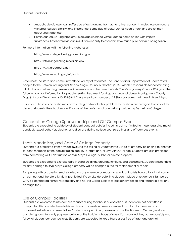- Anabolic steroid users can suffer side effects ranging from acne to liver cancer. In males, use can cause withered testicles, sterility, and impotence. Some side effects, such as heart attack and stroke, may occur years after use.
- Heroin can cause lung problems, blockages in blood vessels due to combination with impure substances. Fatal overdose can result from inability to ascertain how much pure heroin is being taken.

For more information, visit the following websites at:

http://www.collegedrinkingprevention.gov

http://rethinkingdrinking.niaaa.nih.gov

http://www.drugabuse.gov

http://www.nida.nih.gov/Infofacts

Resources: The state and community offer a variety of resources. The Pennsylvania Department of Health refers people to the Network of Drug and Alcohol Single County Authorities (SCA), which is responsible for coordinating all alcohol and other drug prevention, intervention, and treatment efforts. The Montgomery County SCA gives the following contact information for people seeking treatment for drug and alcohol abuse: Montgomery County Drug & Alcohol Treatment, 610-278-3642. There are also a number of 12 Step programs that meet in Bryn Athyn.

If a student believes he or she may have a drug and/or alcohol problem, he or she is encouraged to contact the dean of students, the chaplain, and/or one of the professional counselors provided by Bryn Athyn College.

## <span id="page-45-0"></span>Conduct on College-Sponsored Trips and Off-Campus Events

Students are expected to abide by all student conduct policies including but not limited to those regarding moral conduct, sexual behavior, alcohol, and drug use during college-sponsored trips and off-campus events.

## <span id="page-45-1"></span>Theft, Vandalism, and Care of College Property

Students are prohibited from any act involving the taking or unauthorized usage of property belonging to another student; members of the administration, faculty, or staff; and/or Bryn Athyn College. Students are also prohibited from committing willful destruction of Bryn Athyn College, public, or private property.

Students are expected to exercise care in using buildings, grounds, furniture, and equipment. Students responsible for any damage to Bryn Athyn College property will be charged a fee for replacement or repair.

Tampering with or covering smoke detectors anywhere on campus is a significant safety hazard for all individuals on campus and therefore is strictly prohibited. If a smoke detector in a student's place of residence is tampered with, it is considered his/her responsibility and he/she will be subject to disciplinary action and responsible for any damage fees.

## <span id="page-45-2"></span>Use of Campus Facilities

Students are welcome to use campus facilities during their hours of operation. Students are not permitted in campus facilities outside the established hours of operation unless supervised by a faculty member or an approved institutional representative. Students are permitted, however, to use the Brickman Center great room and dining room for study purposes outside of the building's hours of operation provided they act responsibly and follow all student conduct policies. Students are expected to keep these areas free of trash and are not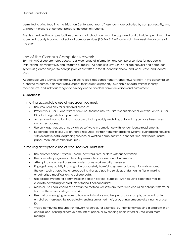permitted to bring food into the Brickman Center great room. These rooms are patrolled by campus security, who will report violations of conduct policy to the dean of students.

Events scheduled in campus facilities after normal school hours must be approved and a building permit must be submitted to Jody Maddock, director of campus services (PO Box 711 – Pitcairn Hall), two weeks in advance of the event.

## <span id="page-46-0"></span>Use of the Campus Computer Network

Bryn Athyn College promotes access to a wide range of information and computer services for academic, instructional, administrative, and research purposes. All access to Bryn Athyn College network and computer systems is granted subject to college policies as written in the student handbook, and local, state, and federal laws.

Acceptable use always is charitable, ethical, reflects academic honesty, and shows restraint in the consumption of shared resources. It demonstrates respect for intellectual property, ownership of data, system security mechanisms, and individuals' rights to privacy and to freedom from intimidation and harassment.

## **Guidelines:**

In making acceptable use of resources you must:

- Use resources only for authorized purposes.
- Protect your user ID and system from unauthorized use. You are responsible for all activities on your user ID or that originate from your system.
- Access only information that is your own, that is publicly available, or to which you have been given authorized access.
- Use only legal versions of copyrighted software in compliance with vendor license requirements.
- Be considerate in your use of shared resources. Refrain from monopolizing systems, overloading networks with excessive data, degrading services, or wasting computer time, connect time, disk space, printer paper, manuals, or other resources.

In making acceptable use of resources you must *not*:

- Use another person's system, user ID, password, files, or data without permission.
- Use computer programs to decode passwords or access control information.
- Attempt to circumvent or subvert system or network security measures.
- Engage in any activity that might be purposefully harmful to systems or to any information stored thereon, such as creating or propagating viruses, disrupting services, or damaging files or making unauthorized modifications to college data.
- Use college systems for commercial or partisan political purposes, such as using electronic mail to circulate advertising for products or for political candidates.
- Make or use illegal copies of copyrighted materials or software, store such copies on college systems, or transmit them over college networks.
- Use mail or messaging services to harass or intimidate another person, for example, by broadcasting unsolicited messages, by repeatedly sending unwanted mail, or by using someone else's name or user ID.
- Waste computing resources or network resources, for example, by intentionally placing a program in an endless loop, printing excessive amounts of paper, or by sending chain letters or unsolicited mass mailings.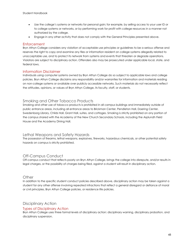- Use the college's systems or networks for personal gain; for example, by selling access to your user ID or to college systems or networks, or by performing work for profit with college resources in a manner not authorized by the college.
- Engage in any other activity that does not comply with the General Principles presented above.

#### <span id="page-47-0"></span>Enforcement

Bryn Athyn College considers any violation of acceptable use principles or guidelines to be a serious offense and reserves the right to copy and examine any files or information resident on college systems allegedly related to unacceptable use, and to protect its network from systems and events that threaten or degrade operations. Violators are subject to disciplinary action. Offenders also may be prosecuted under applicable local, state, and federal laws.

#### <span id="page-47-1"></span>Information Disclaimer

Individuals using computer systems owned by Bryn Athyn College do so subject to applicable laws and college policies. Bryn Athyn College disclaims any responsibility and/or warranties for information and materials residing on non-college systems or available over publicly accessible networks. Such materials do not necessarily reflect the attitudes, opinions, or values of Bryn Athyn College, its faculty, staff, or students.

## <span id="page-47-2"></span>Smoking and Other Tobacco Products

Smoking and other use of tobacco products is prohibited in all campus buildings and immediately outside of public entrance areas, including all entrance areas to Brickman Center, Pendleton Hall, Doering Center, Swedenborg Library, Childs Hall, Grant Hall, suites, and cottages. Smoking is strictly prohibited on any portion of the campus shared with the Academy of the New Church Secondary Schools, including the Asplundh Field House and the Academy Dining Hall.

## <span id="page-47-3"></span>Lethal Weapons and Safety Hazards

The possession of firearms, lethal weapons, explosives, fireworks, hazardous chemicals, or other potential safety hazards on campus is strictly prohibited.

## <span id="page-47-4"></span>Off-Campus Conduct

Off-campus conduct that reflects poorly on Bryn Athyn College, brings the college into disrepute, and/or results in legal charges, or the possibility of charges being filed, against a student will result in disciplinary action.

## <span id="page-47-5"></span>**Other**

In addition to the specific student conduct policies described above, disciplinary action may be taken against a student for any other offense involving repeated infractions that reflect a general disregard or defiance of moral or civil principles, Bryn Athyn College policies, or residence life policies.

## <span id="page-47-6"></span>Disciplinary Action

#### <span id="page-47-7"></span>Types of Disciplinary Action

Bryn Athyn College uses three formal levels of disciplinary action: disciplinary warning, disciplinary probation, and disciplinary suspension.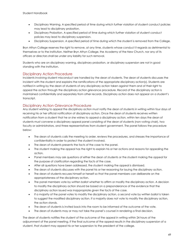- Disciplinary Warning. A specified period of time during which further violation of student conduct policies may lead to disciplinary probation.
- Disciplinary Probation. A specified period of time during which further violation of student conduct policies may lead to disciplinary suspension.
- Disciplinary Suspension. A specified period of time during which the student is removed from the College.

Bryn Athyn College reserves the right to remove, at any time, students whose conduct it regards as detrimental to themselves or to the institution. Neither Bryn Athyn College, the Academy of the New Church, nor any of its officers or directors shall be under any liability for such removal.

Students who are on disciplinary warning, disciplinary probation, or disciplinary suspension are not in good standing with the institution.

#### <span id="page-48-0"></span>Disciplinary Action Procedure

Incidents involving student misconduct are handled by the dean of students. The dean of students discusses the incident with the student and explains the ramifications of the appropriate disciplinary action(s). Students are notified in writing by the dean of students of any disciplinary action taken against them and of their right to appeal the action through the disciplinary action grievance procedure. Record of the disciplinary action is maintained confidentially and separately from other records. Disciplinary action does not appear on a student's transcript.

#### <span id="page-48-1"></span>Disciplinary Action Grievance Procedure

Any student wishing to appeal the disciplinary action must notify the dean of students in writing within four days of receiving his or her official notification of disciplinary action. Once the dean of students receives written notification from a student that he or she wishes to appeal a disciplinary action, within ten days the dean of students must convene a disciplinary appeal panel consisting of the dean of students (non-voting chair), two faculty or administrators, and three representatives from student government. The panel follows the procedure below:

- The dean of students calls the meeting to order, reviews the procedures, and stresses the importance of confidentiality in order to protect the student involved.
- The dean of students presents the facts of the case to the panel.
- The student making the appeal has the right to explain his or her actions and reasons for appealing the action.
- Panel members may ask questions of either the dean of students or the student making the appeal for the purpose of clarification regarding the facts of the case.
- After all questions have been addressed, the student making the appeal is dismissed.
- The dean of students discusses with the panel his or her reasoning for issuing the disciplinary action.
- The dean of students recuses himself or herself so that the panel members can deliberate on the appropriateness of the disciplinary action.
- The panel members vote by written ballot whether to affirm or modify the disciplinary action. A decision to modify the disciplinary action should be based on a preponderance of the evidence that the disciplinary action issued was inappropriate given the facts of the case.
- If a majority of the panel votes to modify the disciplinary action, a second vote by written ballot is taken to suggest the modified disciplinary action. If a majority does not vote to modify the disciplinary action, the action stands.
- The dean of students is invited back into the room to be informed of the outcome of the vote.
- The dean of students may or may not take the panel's counsel in rendering a final decision.

The dean of students notifies the student of the outcome of the appeal in writing within 24 hours of the adjournment of the panel meeting. If the final outcome of the appeal results in the disciplinary suspension of a student, that student may appeal his or her suspension to the president of the college.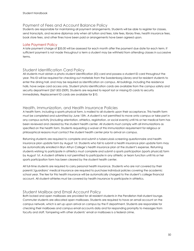## <span id="page-49-0"></span>Payment of Fees and Account Balance Policy

Students are responsible for maintaining all payment arrangements. Students will be able to register for classes, send transcripts, and receive diplomas only when all tuition and fees, late fees, library fines, health insurance fees, book store fees, and other fines have been paid or arrangements have been agreed upon.

## <span id="page-49-1"></span>Late Payment Policy

A late payment charge of \$35.00 will be assessed for each month after the payment due date for each term. If sufficient payment is not made throughout a term a student may be withheld from attending classes in successive terms.

## <span id="page-49-2"></span>Student Identification Card Policy

All students must obtain a photo student identification (ID) card and possess a student ID card throughout the year. This ID will be required for checking out materials from the Swedenborg Library and for resident students to enter the dining hall, and may be required as identification on campus. All buildings, including the residence halls, have swipe card access only. Student photo identification cards are available from the campus safety and security department (267-502-2509). Students are required to report lost or missing ID cards to security immediately. Replacement ID cards are available for \$10.

## <span id="page-49-3"></span>Health, Immunization, and Health Insurance Policies

A health form, including a sports physical form, is mailed to all students upon their acceptance. This health form must be completed and submitted by June 15th. A student is not permitted to move onto campus or take part in any campus activity (including orientation, athletics, registration, or social events) until his or her medical form has been reviewed and cleared by the student health center. All students must comply with all immunizations as specified on the health form. Students requesting a waiver of this immunization requirement for religious or philosophical reasons must contact the student health center prior to arrival on campus.

Returning students are required to complete and submit a tuberculosis screening questionnaire and health insurance plan update form by August 1st. Students who fail to submit a health insurance plan update form may be automatically enrolled in Bryn Athyn College's health insurance plan at the student's expense. Returning students wishing to participate in athletics must complete and submit a sports participation (sports physical) form by August 1st. A student athlete is not permitted to participate in any athletic or team function until his or her sports participation form has been cleared by the student health center.

All full-time students are required to carry personal health insurance. Students who are not covered by their parents'/guardians' medical insurance are required to purchase individual policies covering the academic school year. The fee for this health insurance will be automatically charged to the student's college financial account. All student-athletes must be covered by health insurance to participate in athletics.

## <span id="page-49-4"></span>Student Mailbox and Email Account Policy

Both locked and open mailboxes are provided for all resident students in the Pendleton Hall student lounge. Commuter students are allocated open mailboxes. Students are required to have an email account on the campus network, which is set up upon arrival on campus by the IT department. Students are responsible for checking their mailboxes and campus email accounts daily and for responding promptly to messages from faculty and staff. Tampering with other students' email or mailboxes is a federal crime.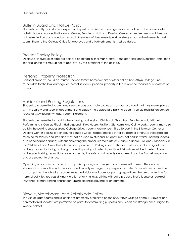## <span id="page-50-0"></span>Bulletin Board and Notice Policy

Students, faculty, and staff are expected to post advertisements and general information on the appropriate bulletin boards provided in Brickman Center, Pendleton Hall, and Doering Center. Advertisements and fliers are not permitted on doors, windows, or walls. Members of the general public wishing to post advertisements must submit them to the College Office for approval, and all advertisements must be dated.

## <span id="page-50-1"></span>Project Display Policy

Displays of individual or class projects are permitted in Brickman Center, Pendleton Hall, and Doering Center for a specific length of time subject to approval by the president of the college.

## <span id="page-50-2"></span>Personal Property Protection

Personal property should be insured under a family, homeowner's or other policy. Bryn Athyn College is not responsible for the loss, damage, or theft of students' personal property in the residence facilities or elsewhere on campus.

## <span id="page-50-3"></span>Vehicles and Parking Regulations

Students are permitted to own and operate cars and motorcycles on campus, provided that they are registered with the safety and security department and display the appropriate parking decal. Vehicle registration can be found at www.brynathyn.edu/student-life/safety.

Students are permitted to park in the following parking lots: Childs Hall, Grant Hall, Pendleton Hall, Mitchell Performing Arts Center, Pitcairn Hall, Asplundh Field House, Pavilion, Glencairn, and Cairnwood. Students may also park in the parking spaces along College Drive. Students are not permitted to park in the Brickman Center or Doering Center parking lots or around Benade Circle. Spaces marked in yellow paint or otherwise indicated are reserved for faculty and staff and may not be used by students. Students may not park in 'visitor' parking spaces or in handicapped spaces without displaying the proper license plate or window placard. Fire lanes, especially in the Childs Hall and Grant Hall lots, are strictly enforced. Parking in areas that are not specifically designated as parking spaces, including on the grass and in parking lot aisles, is prohibited. Violations will be ticketed. These parking and driving regulations are enforced by the safety and security department and the Bryn Athyn police and are subject to change.

Operating a car or motorcycle on campus is a privilege and subject to suspension if abused. The dean of students, in consultation with the safety and security manager, may suspend a student's use of a motor vehicle on campus for the following reasons: repeated violation of campus parking regulations, the use of a vehicle for harmful activities, reckless driving, violation of driving laws, driving without a proper driver's license or required insurance, or transporting and/or consuming alcoholic beverages on campus.

## <span id="page-50-4"></span>Bicycle, Skateboard, and Rollerblade Policy

The use of skateboards and roller blades are strictly prohibited on the Bryn Athyn College campus. Bicycles and non-motorized scooters are permitted on paths for commuting purposes only. Riders are strongly encouraged to wear a helmet.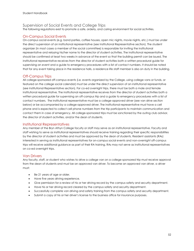## <span id="page-51-0"></span>Supervision of Social Events and College Trips

The following regulations exist to promote a safe, orderly, and caring environment for social activities.

#### <span id="page-51-1"></span>On-Campus Social Events

On-campus social events (e.g. band parties, coffee houses, open mic nights, movie nights, etc.) must be under the direct supervision of an institutional representative (see Institutional Representative section). The student organizer (in most cases a member of the social committee) is responsible for inviting the institutional representative and relaying his/her name to the director of student activities. The institutional representative should be confirmed at least two weeks in advance of the event so that the building permit can be issued. The institutional representative receives from the director of student activities both a written procedural guide for supervising an event and a guide to emergency procedures with a list of contact numbers. It should be noted that for any event taking place in the residence halls, a residence life staff member is also on duty in the building.

## <span id="page-51-2"></span>Off-Campus Trips

All college-sponsored off-campus events (i.e. events organized by the College, using college vans or funds, or featured on the college social calendar) must be under the direct supervision of an institutional representative (see Institutional Representative section). For co-ed overnight trips, there must be both a male and female institutional representative. The institutional representative receives from the director of student activities both a written procedural guide for supervising an off-campus trip and a guide to emergency procedures with a list of contact numbers. The institutional representative must be a college-approved driver (see van drive section below) or be accompanied by a college-approved driver. The institutional representative must have a cell phone and is expected to collect cell phone numbers from the trip participants to maintain communication and contact them in case of emergency. All college-sponsored trips must be sanctioned by the outing club advisor, the director of student activities, and/or the dean of students.

#### <span id="page-51-3"></span>Institutional Representatives

Any member of the Bryn Athyn College faculty or staff may serve as an institutional representative. Faculty and staff wishing to serve as institutional representatives should receive training regarding their specific responsibilities by the director of student activities and must be approved by the dean of students. Resident assistants (RAs) interested in serving as institutional representatives for on-campus social events and non-overnight off-campus trips will receive additional guidance as part of their RA training. RAs may not serve as institutional representatives on co-ed overnight trips.

#### <span id="page-51-4"></span>Van Drivers

Any faculty, staff, or student who wishes to drive a college van on a college-sponsored trip must receive approval from the dean of students and must be an approved van driver. To become an approved van driver, a driver must:

- Be 21 years of age or older.
- Have five years driving experience.
- Give permission for a review of his or her driving record by the campus safety and security department.
- Have his or her driving record cleared by the campus safety and security department.
- Successfully complete van driving and safety training from the campus safety and security department.
- Submit a copy of his or her driver's license to the business office for insurance purposes.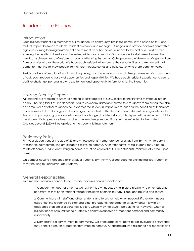# <span id="page-52-0"></span>Residence Life Policies

#### <span id="page-52-1"></span>**Introduction**

Each resident student is a member of our residence life community. Life in this community is based on trust and mutual respect between residents, resident assistants, and managers. Our goal is to provide each resident with a high quality living-learning environment and to meet his or her individual needs to the best of our ability while ensuring the health and welfare of the entire residence community. Our residence life staff seeks to meet the needs of a diverse group of residents. Students attending Bryn Athyn College cover a wide range of ages and are from countries all over the world. We hope each resident will embrace the opportunities and excitement that come from getting to know people from different backgrounds and cultures, yet who share common values.

Residence life is often a lot of fun, is not always easy, and is always educational. Being a member of a community affords each resident a variety of opportunities and responsibilities. We hope each resident experiences a year of positive challenge, personal growth, excitement and opportunity to form long-lasting friendships.

## <span id="page-52-2"></span>Housing Security Deposit

All residents are required to submit a housing security deposit of \$250.00 prior to the first time they move into oncampus housing facilities. This deposit is used to cover any damage incurred to a resident's room during their stay on campus or any other residence hall expenses the student is responsible for such as the condition of their room upon move-out. If no damage or other charges are applied to this deposit when a student no longer intends to live on campus (upon graduation, withdrawal, or change of resident status), this deposit will be refunded in full to the student. If charges have been applied, the remaining amount (if any) will be refunded to the student. Charges beyond \$250 will be applied to the students billing statement.

#### <span id="page-52-3"></span>Residency Policy

First-year students under the age of 20 and whose parents' homes are too far away from Bryn Athyn to permit reasonable daily commuting are expected to live on campus. After three terms, these students may elect to reside off-campus. All students living on campus must be enrolled as full-time students (minimum of 9 credits per term).

On-campus housing is designed for individual students. Bryn Athyn College does not provide married-student or family housing to undergraduate students.

#### <span id="page-52-4"></span>General Responsibilities

As a member of our residence life community, each resident is expected to:

1. Consider the needs of others as well as her/his own needs. Living in close proximity to other residents necessitates that each resident respects the rights of others to study, sleep, and be safe and secure.

2. Communicate with staff and other residents and to ask for help when needed. If a resident needs assistance, the residence life staff and other professionals are eager to assist, whether it is with an academic problem or a personal situation. Others may not always be able to tell, however, when a resident needs help. Ask for help. Effective communication is an important personal and community responsibility.

3. Demonstrate a commitment to community. We encourage all residents to get involved to ensure that they benefit as much as possible from living on campus. Attending required residence hall meetings and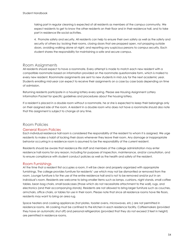taking part in regular cleaning is expected of all residents as members of the campus community. We expect residents to get to know the other residents on their floor and in their residence hall, and to take part in residence life social activities.

4. Promote safety and security. All residents can help to ensure their own safety as well as the safety and security of others by: locking their rooms, closing doors that are propped open, not propping outside doors, avoiding walking alone at night, and reporting any suspicious persons to campus security. Each student shares the responsibility for maintaining a safe and secure campus.

## <span id="page-53-0"></span>Room Assignments

All residents should expect to have a roommate. Every attempt is made to match each new resident with a compatible roommate based on information provided on the roommate questionnaire form, which is mailed to every new resident. Roommate assignments are sent to new students in mid-July for the next academic year. Students enrolling mid-year can expect to receive their assignments on a case by case basis depending on time of admission.

Returning residents participate in a housing lottery every spring. Please see Housing Assignment Lottery Information Packet for specific guidelines and procedures about the housing lottery.

If a resident is placed in a double room without a roommate, he or she is expected to keep their belongings only on their assigned side of the room. A resident in a double room who does not have a roommate should also note that this assignment is subject to change at any time.

#### <span id="page-53-1"></span>Room Policies

#### <span id="page-53-2"></span>General Room Policies

Each individual residence hall room is considered the responsibility of the resident to whom it is assigned. We urge residents to make a habit of locking their doors whenever they leave their room. Any damage or inappropriate behavior occurring in a residence room is assumed to be the responsibility of the current resident.

Residents should be aware that residence life staff and members of the college administration may enter residence hall rooms for any reason, including for purposes of inspection, maintenance, and/or consultation, and to ensure compliance with student conduct policies as well as the health and safety of the resident.

#### <span id="page-53-3"></span>Room Furnishings

At the time that a resident first occupies a room, it will be clean and properly organized with appropriate furnishings. The college provides furniture for residents' use which may not be dismantled or removed from the room. Lounge furniture is for the use of the entire residence hall and is not to be removed and/or put in an individual's room. Residents are welcome to bring smaller items such as lamps, cushions, night stands, small coffee tables, bean bag chairs, small bookcases (those which do not necessitate attachment to the wall), rugs, and electronics (and their accompanying stands). Residents are not allowed to bring larger furniture such as couches, armchairs, office chairs, or tables for use in their room. Please note that since all residence rooms have tile floors, residents may want to bring an area rug.

Space heaters and cooking appliances (hot plates, toaster ovens, microwaves, etc.) are not permitted in residence rooms. All cooking must be confined to the kitchen in each residence facility. Coffeemakers (provided they have an automatic shut off) and personal refrigerators (provided that they do not exceed 3 feet in height) are permitted in residence rooms.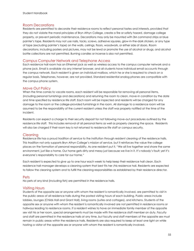#### <span id="page-54-0"></span>Room Decorations

Residents are permitted to decorate their residence rooms to reflect personal tastes and interests, provided that they do not violate the moral principles of Bryn Athyn College, create a fire or safety hazard, damage college property, or prevent periodic maintenance. Decorations may only be mounted with 3M command strips or blue painter's tape. Residents may not use nails, tacks, screws, adhesive squares, glow-in-the-dark stickers, or any type of tape (excluding painter's tape) on the walls, ceilings, floors, woodwork, or either side of doors. Room decorations, including posters and pictures, may not be lewd or promote the use of alcohol or drugs, and alcohol bottle collections are not permitted. Burning candles or incense is also not permitted.

## <span id="page-54-1"></span>Campus Computer Network and Telephone Access

Each residence hall room has an Ethernet jack as well as wireless access to the campus computer network and a phone jack. Email is available via any internet browser, and all students have individual email accounts through the campus network. Each resident is given an individual mailbox, which he or she is required to check on a regular basis. Telephones, however, are not provided. Standard residential analog phones are compatible with the campus phone system.

#### <span id="page-54-2"></span>Move Out Policy

When the time comes to vacate rooms, each resident will be responsible for removing all personal items, (including personal furnishings and decorations) and returning the room to clean, move-in condition by the date and time specified by residence life staff. Each room will be inspected and residents will be charged for any damage to the room or the college-provided furnishings in the room. All damage to a residence room will be assumed to be the responsibility of the current resident unless the staff was properly notified at the time of the incident.

Residents can expect a charge to their security deposit for not following move-out procedures outlined by the residence life staff. This includes removal of all personal items as well as properly cleaning the space. Residents will also be charged if their room key is not returned to residence life staff or campus security.

#### <span id="page-54-3"></span>**Cleaning**

Residence life has a proud tradition of service to the institution through resident cleaning of the residence halls. This tradition not only supports Bryn Athyn College's mission of service, but it reinforces the value the college places on the formation of personal responsibility. As one resident put it, "We all live together and share the same environment, just like a home. Our home gets dirty and messy just because we live in it. It's nobody's fault; yet it's everyone's responsibility to care for our home."

Each resident is expected to give up to one hour each week to help keep their residence hall clean. Each residence hall manager develops a cleaning system that best fits her /his residence hall. Residents are expected to follow the cleaning system and to fulfill the cleaning responsibilities as established by their residence director.

#### <span id="page-54-4"></span>Pets

No pets of any kind (including fish) are permitted in the residence halls.

#### <span id="page-54-5"></span>Visiting Hours

Students of the opposite sex or anyone with whom the resident is romantically involved, are permitted to visit in the public areas of all residence halls during the posted visiting hours of each building. Public areas include lobbies, lounges (Childs Hall and Grant Hall), living rooms (suites and cottages), and kitchens. Students of the opposite sex or anyone with whom the resident is romantically involved are not permitted in residence rooms or hallways leading to residence rooms. If a resident wishes to have an immediate family member of the opposite sex visit his or her room, special arrangements must be made with the residence staff member on duty. Faculty and staff are permitted in the residence halls at any time, but faculty and staff members of the opposite sex must remain in public areas within the residence halls. Residents are also required to keep at least one light on while hosting a visitor of the opposite sex or anyone with whom the resident is romantically involved.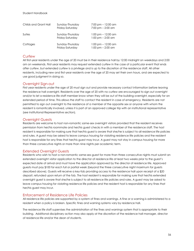| Childs and Grant Hall | Sunday-Thursday<br>Friday-Saturday | $7:00 \text{ pm} - 12:00 \text{ cm}$<br>$7:00 \text{ pm} - 2:00 \text{ cm}$ |
|-----------------------|------------------------------------|-----------------------------------------------------------------------------|
| Suites                | Sunday-Thursday<br>Friday-Saturday | $1:00 \text{ pm} - 12:00 \text{ cm}$<br>$1:00$ pm $- 2:00$ am               |
| Cottages              | Sunday-Thursday<br>Friday-Saturday | $1:00 \text{ pm} - 12:00 \text{ cm}$<br>$1:00$ pm $- 2:00$ am               |

#### <span id="page-55-0"></span>**Curfew**

All first-year residents under the age of 20 must be in their residence hall by 12:00 midnight on weekdays and 2:00 am on weekends. First-year residents may request extended curfew in the case of a particular event that ends after curfew, but extended curfew is a privilege and is up to the discretion of the residence staff. All other residents, including new and first-year residents over the age of 20 may set their own hours, and are expected to use good judgment in doing so.

#### <span id="page-55-1"></span>Overnight Sign-out

First year residents under the age of 20 must sign out and provide necessary contact information before leaving the residence hall overnight. Residents over the age of 20 with no curfew are encouraged to sign out overnight and/or to let a residence life staff member know when they will be out of the building overnight, especially for an extended period of time. This allows the staff to contact the resident in case of emergency. Residents are not permitted to sign out overnight to the residence of a member of the opposite sex or anyone with whom the resident is romantically involved, unless it is part of an approved college trip with an institutional representative (see Institutional Representative section).

#### <span id="page-55-2"></span>Overnight Guests

Residents are welcome to host non-romantic same-sex overnight visitors provided that the resident receives permission from her/his roommate and her/his guest checks in with a member of the residence staff. The host resident is responsible for making sure that her/his guest is aware that she/he is subject to all residence life policies and rules. A guest may be asked to leave campus housing for violating residence life policies and the resident host is responsible for any fines that her/his guest may incur. A guest may not stay in campus housing for more than three consecutive nights or more than nine nights per academic term.

#### <span id="page-55-3"></span>Extended Overnight Guests

Residents who wish to host a non-romantic same-sex guest for more than three consecutive nights must submit an extended overnight visitor application to the director of residence life at least two weeks prior to the guest's expected date of arrival and must have the application approved by the director of residence life. Approved guests must pay \$100 for each full or partial week (beyond the three consecutive night maximum for guests described above). Guests will receive a key-fob providing access to the residence hall upon receipt of a \$20 deposit, refunded upon return of the fob. The host resident is responsible for making sure that her/his extended overnight guest is aware that she/he is subject to all residence life policies and rules. A guest may be asked to leave campus housing for violating residence life policies and the resident host is responsible for any fines that her/his guest may incur.

#### <span id="page-55-4"></span>Enforcement of Residence Life Policies

All residence life policies are supported by a system of fines and warnings. A fine or a warning is administered to a resident when a policy is broken. Specific fines and warning systems vary by residence hall.

The residence life staff supervises the administration of the fines and warnings system that is appropriate to their building. Additional disciplinary action may also apply at the discretion of the residence hall manager, director of residence life and/or the dean of students.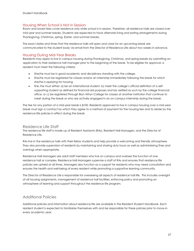## <span id="page-56-0"></span>Housing When School is Not in Session

Room and board fees cover residence only while school is in session. Therefore, all residence halls are closed over mid-year and summer breaks. Students are expected to have alternate living and eating arrangements during Thanksgiving, Christmas, spring, Easter, and summer breaks.

The exact dates and times that the residence halls will open and close for an upcoming break are communicated to the student body via email from the Director of Residence Life about two weeks in advance.

## <span id="page-56-1"></span>Housing During Mid-Year Breaks

Residents may apply to live in campus housing during Thanksgiving, Christmas, and spring breaks by submitting an application to their residence hall manager prior to the beginning of the break. To be eligible for approval, a resident must meet the following criteria:

- She/he must be in good academic and disciplinary standing with the college.
- She/he must be registered for classes and/or an internship immediately following the break for which she/he is applying for housing.
- She /he must either: a) be an international student, b) meet the college's official definition of a selfsupporting student as defined for financial aid purposes and be verified as such by the college financial office, or c) be registered through Bryn Athyn College for classes at another institution that continue to meet during the break or who are actively engaged in an on-campus internship during the break.

The fee for any portion of a mid-year break is \$100. Residents approved to live in campus housing over a mid-year break must sign a contract by which they agree to a method of payment for the housing fee and to abide by the residence life policies in effect during the break.

## <span id="page-56-2"></span>Residence Life Staff

The residence life staff is made up of Resident Assistants (RAs), Resident Hall Managers, and the Director of Residence Life.

RAs live in the residence halls with their fellow students and help provide a welcoming and friendly atmosphere. They also provide supervision of residents by maintaining and sharing duty hours as well as administering fines and warnings when appropriate.

Residence Hall Managers are adult staff members who live on campus and oversee the function of one residence hall or complex. Residence Hall Managers supervise a staff of RAs and ensures that residence life policies are upheld at all times. Managers also function as a support for residents who may need consultation and ensures the health and well-being of every resident while promoting a supportive learning community.

The Director of Residence Life is responsible for overseeing all aspects of residence hall life. This includes oversight of all housing assignments, management of residence hall facilities, enforcing policy and promoting an atmosphere of learning and support throughout the residence life program.

## Additional Policies

Additional policies and information about residence life are available in the Resident Student Handbook. Each resident student is expected to familiarize themselves with and be responsible for these policies prior to move-in every academic year.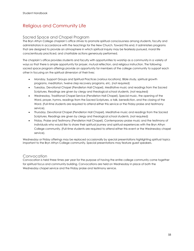# <span id="page-57-0"></span>Religious and Community Life

## <span id="page-57-1"></span>Sacred Space and Chapel Program

The Bryn Athyn College chaplain's office strives to promote spiritual consciousness among students, faculty and administrators in accordance with the teachings for the New Church. Toward this end, it administers programs that are designed to provide an atmosphere in which spiritual inquiry may be fearlessly pursued, moral life conscientiously practiced, and charitable actions generously performed.

The chaplain's office provides students and faculty with opportunities to worship as a community in a variety of ways so that there is ample opportunity for prayer, mutual reflection, and religious instruction. The following sacred space program offerings provide an opportunity for members of the college community to support each other in focusing on the spiritual dimension of their lives:

- Monday. Support Groups and Spiritual Practices (various locations). Bible study, spiritual growth programs, meditation, twelve step recovery programs, etc. (not required)
- Tuesday. Devotional Chapel (Pendleton Hall Chapel). Meditative music and readings from the Sacred Scriptures. Readings are given by clergy and theological school students. (not required)
- Wednesday. Traditional Chapel Service (Pendleton Hall Chapel). Special music, the opening of the Word, prayer, hymns, readings from the Sacred Scriptures, a talk, benediction, and the closing of the Word. (Full-time students are required to attend either this service or the Friday praise and testimony service).
- Thursday. Devotional Chapel (Pendleton Hall Chapel). Meditative music and readings from the Sacred Scriptures. Readings are given by clergy and theological school students. (not required)
- Friday. Praise and Testimony (Pendleton Hall Chapel). Contemporary praise music and the testimony of individuals who would like to share their spiritual journey and spiritual experiences with the Bryn Athyn College community. (Full-time students are required to attend either this event or the Wednesday chapel service).

Wednesday or Friday offerings may be replaced occasionally by special presentations highlighting spiritual topics important to the Bryn Athyn College community. Special presentations may feature guest speakers.

## <span id="page-57-2"></span>Convocation

Convocation is held three times per year for the purpose of having the entire college community come together for spiritual focus and community building. Convocations are held on Wednesday in place of both the Wednesday chapel service and the Friday praise and testimony service.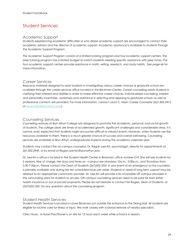# <span id="page-58-0"></span>Student Services

## <span id="page-58-1"></span>Academic Support

Students experiencing academic difficulties or who desire academic support are encouraged to contact their academic advisor and the director of academic support. Academic assistance is available to students through the Academic Support Program.

The Academic Support Program consists of a limited tutoring program and four academic support centers. The peer tutoring program has a limited budget to match students needing specific assistance with peer tutors. The four academic support centers provide assistance in math, writing, research, and study habits. See page 46 for more information.

## <span id="page-58-2"></span>Career Services

Resource materials designed to assist students in investigating various career choices or graduate school are available through the career services office located in the Brickman Center. Career counseling assists students in clarifying their interests and abilities in order to make effective career choices. Individualized counseling, interest and personality inventories, workshops and assistance in selecting and applying to graduate school, as well as professional contacts are provided. For more information, contact Laura C. Nash, Career Counselor (267-502-2412 o[r laura.nash@brynathyn.edu\)](mailto:laura.nash@brynathyn.edu).

## <span id="page-58-3"></span>Counseling Services

Counseling services at Bryn Athyn College are designed to promote the academic, personal, and social growth of students. The college years are times of accelerated growth, significant challenges and considerable stress. It is normal, even expected that students might encounter difficult or stressful events. However, when students use the resources available to them, there is a much greater chance of success and overall well-being. Counseling services are available to Bryn Athyn undergraduate students during the academic calendar year.

Students may contact the on-campus counselor, Dr. Regan Lee-Kin, psychologist, directly for appointments at 267.502.2949, or by email at Regan.Lee-Kin@brynathyn.edu.

Dr. Lee-Kin's office is located in the Student Health Center in Brickman, office number 019. She will see students for 5 sessions, free of charge. Her days and times on –campus are Mondays 10a.m. -3:00p.m., and Thursdays from 2:30-7:30p.m. Please contact the Dean of Students (267)502-2551 in any event of an emergency as the counselor is primarily available only during her ten scheduled hours per week. Students in need of long term support may be referred to an appropriate community provider. Dr. Lee-Kin will provide a list of possible off-campus providers in the surrounding area for students to access. Off-campus counseling services need to be paid for from either health insurance or out-of-pocket payments. Please do not hesitate to contact Kiri Rogers, Dean of Students, at (267)502-2551 for any questions about the counseling program.

## <span id="page-58-4"></span>Student Health Services

Student Health Services is located in Lower Brickman just outside the entrance to the Dining Hall. All students are eligible for routine care for illness or injury. We work closely with a broad network of nearby specialists.

Clinic Hours: A Nurse Practitioner is on site for 12 hours each week while school is in session.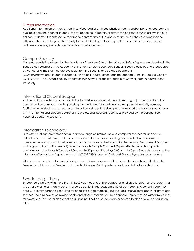#### <span id="page-59-0"></span>Further Information

Additional information on mental health services, addiction issues, physical health, and/or personal counseling is available from the dean of students, the residence hall directors, or any of the personal counselors available to college students. Students should feel free to contact any of the above at any time if they are experiencing difficulties that seem beyond their ability to handle. Getting help for a problem before it becomes a bigger problem is one way students can be active in their own health.

## <span id="page-59-1"></span>Campus Security

Campus security is overseen by the Academy of the New Church Security and Safety Department, located in the Benade Hall building on the Academy of the New Church Secondary School. Specific policies and procedures, as well as full crime statistics, are available from the Security and Safety Department (www.brynathyn.edu/student-life/safety). An on-call security officer can be reached 24 hours 7 days a week at 267-502-2424. The Annual Security Report for Bryn Athyn College is available at www.brynathyn.edu/studentlife/safety.

## <span id="page-59-2"></span>International Student Support

An international student advisor is available to assist international students in making adjustments to life in this country and on campus, including assisting them with visa information, obtaining a social security number, facilitating work study on campus, etc. International students seeking personal support are encouraged to meet with the international student advisor or the professional counseling services provided by the college (see Personal Counseling section).

## <span id="page-59-3"></span>Information Technology

Bryn Athyn College promotes access to a wide range of information and computer services for academic, instructional, administrative, and research purposes. This includes providing each student with a campus computer network account. Help desk support is available at the Information Technology Department (located on the ground floor of Pitcairn Hall) Monday through Friday 8:30 am – 4:30 pm. After hours tech support is available Monday through Thursday 7:00 pm – 10:30 pm and Sundays 3:00 pm – 9:00 pm. Students may go to the Information Technology Department, call (267-502-2680), or email (helpdesk@brynathyn.edu) for assistance.

All students are required to have a laptop for academic purposes. Public computers are also available in the Swedenborg Library and Pendleton Hall student lounge. Public printers are also available for student use.

## <span id="page-59-4"></span>Swedenborg Library

Swedenborg Library, with more than 118,000 volumes and online databases available for study and research in a wide variety of fields, is an important resource center in the academic life of our students. A current student ID card with library barcode is required for checking out all materials. This includes reserve items and interlibrary loan services. The privilege of borrowing books and other materials from Swedenborg Library may be withdrawn if fines for overdue or lost materials are not paid upon notification. Students are expected to abide by all posted library rules.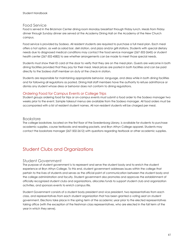## <span id="page-60-0"></span>Food Service

Food is served in the Brickman Center dining room Monday breakfast through Friday lunch. Meals from Friday dinner through Sunday dinner are served at the Academy Dining Hall on the Academy of the New Church campus.

Food service is provided by Sodexo. All resident students are required to purchase a full meal plan. Each meal offers a hot option, as well as salad bar, deli station, and pizza and/or grill stations. Students with special dietary needs due to diagnosed medical conditions may contact the food service manager (267-502-2645) or student health center (267-502-4582) to see whether arrangements can be made to meet those special needs.

Students must show their ID card at the door to verify that they are on the meal plan. Guests are welcome in both dining facilities provided that they pay for their meal. Meal prices are posted in both facilities and can be paid directly to the Sodexo staff member on duty at the check-in station.

Students are responsible for maintaining appropriate behavior, language, and dress while in both dining facilities and for following all regulations as posted. Dining Hall staff members have the authority to refuse admittance or dismiss any student whose dress or behavior does not conform to dining regulations.

## <span id="page-60-1"></span>Ordering Food for Campus Events or College Trips

Student groups ordering food for trips or on-campus events must submit a food order to the Sodexo manager two weeks prior to the event. Sample takeout menus are available from the Sodexo manager. All food orders must be accompanied with a list of resident student names. All non-resident students will be charged per meal.

## <span id="page-60-2"></span>Bookstore

The college bookstore, located on the first floor of the Swedenborg Library, is available for students to purchase academic supplies, course textbooks and reading packets, and Bryn Athyn College apparel. Students may contact the bookstore manager (267-502-2612) with questions regarding textbook or other academic supplies.

# <span id="page-60-3"></span>Student Clubs and Organizations

## <span id="page-60-4"></span>Student Government

The purpose of student government is to represent and serve the student body and to enrich the student experience at Bryn Athyn College. To this end, student government addresses issues within the college that pertain to the lives of students and serves as the official point of communication between the student body and the college administration and faculty. Student government also promotes and approves the establishment of officially recognized student clubs and organizations, allocates funds to support student club and organization activities, and sponsors events to enrich campus life.

Student Government consists of a student body president and vice president, two representatives from each class, and representatives from each student organization that has been granted a voting seat on student government. Elections take place in the spring term of the academic year prior to the elected representatives taking office (with the exception of the freshman class representatives, who are elected in the fall term of the year in which they serve).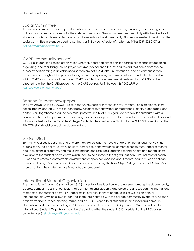## <span id="page-61-0"></span>Social Committee

The social committee is made up of students who are interested in brainstorming, planning, and leading social, cultural, and recreational events for the college community. The committee meets regularly with the director of student activities to develop ideas and organize events for the student body. Students interested in serving on the social committee are encouraged to contact Justin Bowyer, director of student activities (267-502-2957 or [justin.bowyer@brynathyn.edu\)](mailto:justin.bowyer@brynathyn.edu).

## <span id="page-61-1"></span>CARE (community service)

CARE is a student-led service organization where students can either gain leadership experience by designing, organizing, and facilitating service projects or simply experience the joy and reward that come from serving others by participating in an established service project. CARE offers numerous on- and off-campus service opportunities throughout the year, including a service day during fall term orientation. Students interested in joining CARE should contact the student CARE president or vice president. Questions about CARE can be directed to either the CARE president or the CARE advisor, Justin Bowyer (267-502-2957 or [justin.bowyer@brynathyn.edu\)](mailto:justin.bowyer@brynathyn.edu)

## <span id="page-61-2"></span>Beacon (student newspaper)

The Bryn Athyn College BEACON is a student-run newspaper that shares news, features, opinion pieces, short fiction, poetry, and art with the student body. A staff of student writers, photographers, artists, proofreaders and editors work together to produce two issues per term. The BEACON's goal is to provide its contributors with a flexible, intellectually open medium for sharing experiences, opinions, and ideas and to add a creative flavor and informative texture to the life of the College. Students interested in contributing to the BEACON or serving on the BEACON staff should contact the student editors.

## <span id="page-61-3"></span>Active Minds

Bryn Athyn College is currently one of more than 340 colleges to have a chapter of the national Active Minds organization. The goal of Active Minds is to increase student awareness of mental health issues, sponsor mental health awareness programs, and make information and resources regarding mental health and mental illness available to the student body. Active Minds seeks to help remove the stigma that can surround mental health issues and to create a comfortable environment for open conversation about mental health issues on college campuses through North America. Students interested in joining the Bryn Athyn College chapter of Active Minds should contact the student Active Minds chapter president.

## <span id="page-61-4"></span>International Student Organization

The International Student Organization (I.S.O.) strives to raise global cultural awareness among the student body, address campus issues that particularly affect international students, and celebrate and support the international members of the student body. I.S.O. sponsors several excursions to nearby cities as well as an annual international day, which allows students to share their heritage with the college community by showcasing their nation's traditional foods, clothing, music, and art. I.S.O. is open to all students, international and domestic. Students interested in participating in I.S.O. should contact the student I.S.O. president. Questions about the International Student Organization can be directed to either the student I.S.O. president or the I.S.O. advisor, Justin Bowyer [\(justin.bowyer@brynathyn.edu\)](mailto:justin.bowyer@brynathyn.edu).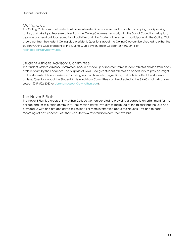## <span id="page-62-0"></span>Outing Club

The Outing Club consists of students who are interested in outdoor recreation such as camping, backpacking, rafting, and bike trips. Representatives from the Outing Club meet regularly with the Social Council to help plan, organize and lead outdoor recreational activities and trips. Students interested in participating in the Outing Club should contact the student Outing club president. Questions about the Outing Club can be directed to either the student Outing Club president or the Outing Club advisor, Robin Cooper (267-502-2411 or [robin.cooper@brynathyn.edu\)](mailto:robin.cooper@brynathyn.edu)

## <span id="page-62-1"></span>Student Athlete Advisory Committee

The Student Athlete Advisory Committee (SAAC) is made up of representative student-athletes chosen from each athletic team by their coaches. The purpose of SAAC is to give student athletes an opportunity to provide insight on the student-athlete experience, including input on how rules, regulations, and policies affect the studentathlete. Questions about the Student Athlete Advisory Committee can be directed to the SAAC chair, Abraham Joseph (267-502-6083 o[r abraham.joseph@brynathyn.edu\)](mailto:abraham.joseph@brynathyn.edu).

## <span id="page-62-2"></span>The Never B Flats

The Never B Flats is a group of Bryn Athyn College women devoted to providing a cappella entertainment for the college and for its outside community. Their mission states: "We aim to make use of the talents that the Lord had provided us with and are dedicated to service." For more information about the Never B Flats and to hear recordings of past concerts, visit their website,www.reverbnation.com/theneverbbs.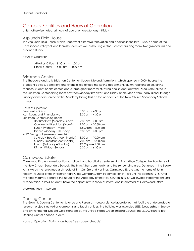# <span id="page-63-0"></span>Campus Facilities and Hours of Operation

Unless otherwise noted, all hours of operation are Monday – Friday

#### <span id="page-63-1"></span>Asplundh Field House

The Asplundh Field House, which underwent extensive renovation and addition in the late 1990s, is home of the Lions soccer, volleyball and lacrosse teams as well as housing a fitness center, training room, two gymnasiums and a dance studio.

Hours of Operation:

| Athletics Office | 8:30 am - 4:30 pm     |
|------------------|-----------------------|
| Fitness Center   | $5:00$ am $-11:00$ pm |

#### <span id="page-63-2"></span>Brickman Center

The Theodore and Sally Brickman Center for Student Life and Admissions, which opened in 2009, houses the president's office, admissions and financial aid offices, marketing department, alumni relations office, dining facilities, student health center, and a large great room for studying and student activities. Meals are served in the Brickman Center dining room between Monday breakfast and Friday lunch. Meals from Friday dinner through Sunday dinner are served at the Academy Dining Hall on the Academy of the New Church Secondary Schools campus.

| Hours of Operation:              |                                      |
|----------------------------------|--------------------------------------|
| President's Office               | $8:30$ am $-4:30$ pm                 |
| Admissions and Financial Aid     | $8:30$ am $-$ 4:30 pm                |
| Brickman Center Dining Room      |                                      |
| Hot Breakfast (Monday-Friday)    | $7:30$ am $-9:00$ am                 |
| Continental Breakfast (Mon-Fri)  | $9:00 \text{ cm} - 10:30 \text{ cm}$ |
| Lunch (Monday – Friday)          | $12:00 \text{ pm} - 1:00 \text{ pm}$ |
| Dinner (Monday - Thursday)       | $5:30$ pm $-6:30$ pm                 |
| ANC Dining Hall (weekend meals)  |                                      |
| Saturday Breakfast (continental) | $8:00 \text{ cm} - 10:00 \text{ cm}$ |
| Sunday Breakfast (continental)   | $9:00 \text{ cm} - 10:30 \text{ cm}$ |
| Lunch (Saturday – Sunday)        | $12:00 \text{ pm} - 1:00 \text{ pm}$ |
| Dinner (Friday-Sunday)           | $5:30$ pm $-6:30$ pm                 |

## <span id="page-63-3"></span>Cairnwood Estate

Cairnwood Estate is an educational, cultural, and hospitality center serving Bryn Athyn College, the Academy of the New Church Secondary Schools, the Bryn Athyn community, and the surrounding area. Designed in the Beaux Arts style by the renowned architectural firm Carrére and Hastings, Cairnwood Estate was the home of John Pitcairn, founder of the Pittsburgh Plate Glass Company, from its completion in 1895 until his death in 1916. After the Pitcairn family donated the house to the Academy of the New Church in 1980, Cairnwood stood vacant until its renovation in 1994. Students have the opportunity to serve as interns and interpreters at Cairnwood Estate

Weekday Tours: 11:00 am

#### <span id="page-63-4"></span>Doering Center

The Grant R. Doering Center for Science and Research houses science laboratories that facilitate undergraduate research projects as well as classrooms and faculty offices. The building was awarded LEED (Leadership in Energy and Environmental Design) Gold Standard by the United States Green Building Council. The 39,000 square-foot Doering Center opened in 2009.

Hours of Operation: During class hours (see course schedule)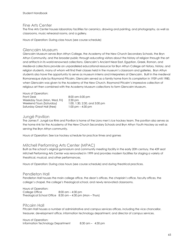#### <span id="page-64-0"></span>Fine Arts Center

The Fine Arts Center houses laboratory facilities for ceramics, drawing and painting, and photography, as well as classrooms, music rehearsal rooms, and a gallery.

Hours of Operation: During class hours (see course schedule)

#### <span id="page-64-1"></span>Glencairn Museum

Glencairn Museum serves Bryn Athyn College, the Academy of the New Church Secondary Schools, the Bryn Athyn Community, and the broader public through educating visitors about the history of religion through the art and artifacts in its world-renowned collections. Glencairn's Ancient Near East, Egyptian, Greek, Roman, and Medieval collections provide an unparalleled educational resource for Bryn Athyn College art history, history, and religion students, many of whom will find their classes held in the museum's classroom and galleries. Bryn Athyn students also have the opportunity to serve as museum interns and interpreters at Glencairn. Built in the medieval Romanesque style by Raymond Pitcairn, Glencairn served as a family home from its completion in 1939 until 1980, when Glencairn was given to the Academy of the New Church. Raymond Pitcairn's impressive collection of religious art then combined with the Academy Museum collections to form Glencairn Museum.

| Hours of Operation:           |                                     |
|-------------------------------|-------------------------------------|
| Front Desk                    | 8:00 am-5:00 pm                     |
| Weekday Tours (Mon, Wed, Fri) | $2:30$ pm                           |
| Weekend Tours (Saturday)      | 1:00, 1:30, 2:30, and 3:00 pm       |
| Saturday Great Hall (free)    | $1:00 \text{ pm} - 4:30 \text{ pm}$ |
|                               |                                     |

#### <span id="page-64-2"></span>Jungé Pavilion

The James F. Jungé Ice Rink and Pavilion is home of the Lions men's ice hockey team. The pavilion also serves as the home rink for the Academy of the New Church Secondary Schools and Bryn Athyn Youth Hockey as well as serving the Bryn Athyn community.

Hours of Operation: See ice hockey schedule for practice times and games

## <span id="page-64-3"></span>Mitchell Performing Arts Center (MPAC)

Built as the school's original gymnasium and community meeting facility in the early 20th century, the 439 seat Mitchell Performing Arts Center was renovated in 1999 and provides modern facilities for staging a variety of theatrical, musical, and other performances.

Hours of Operation: During class hours (see course schedule) and during theatrical practices.

#### <span id="page-64-4"></span>Pendleton Hall

Pendleton Hall houses the main college office, the dean's offices, the chaplain's office, faculty offices, the college's chapel, the college's theological school, and newly renovated classrooms.

Hours of Operation: College Office 8:00 am - 4:30 pm Theological School Office 8:30 am – 4:30 pm (Mon – Thurs)

#### <span id="page-64-5"></span>Pitcairn Hall

Pitcairn Hall houses a number of administrative and campus services offices, including the vice chancellor, treasurer, development office, information technology department, and director of campus services.

Hours of Operation: Information Technology Department 8:30 am – 4:30 pm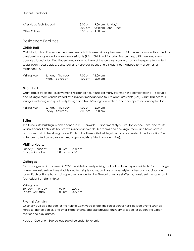| After Hours Tech Support | $3:00 \text{ pm} - 9:00 \text{ pm}$ (Sunday)       |
|--------------------------|----------------------------------------------------|
|                          | $7:00 \text{ pm} - 10:30 \text{ pm}$ (Mon – Thurs) |
| Other Offices            | $8:30$ am $-$ 4:30 pm                              |

<span id="page-65-0"></span>Residence Facilities

#### **Childs Hall**

Childs Hall, a traditional-style men's residence hall, houses primarily freshmen in 24 double rooms and is staffed by a resident manager and four resident assistants (RAs). Childs Hall includes five lounges, a kitchen, and coinoperated laundry facilities. Recent renovations to three of the lounges provide an attractive space for student social events. Just outside, basketball and volleyball courts and a student-built gazebo form a center for residence life.

| Visiting Hours: | Sunday – Thursday | 7:00 pm - 12:00 am |
|-----------------|-------------------|--------------------|
|                 | Friday – Saturday | 7:00 pm - 2:00 am  |

#### **Grant Hall**

Grant Hall, a traditional-style women's residence hall, houses primarily freshmen in a combination of 13 double and 13 single rooms and is staffed by a resident manager and four resident assistants (RAs). Grant Hall has four lounges, including one quiet study lounge and two TV lounges, a kitchen, and coin-operated laundry facilities.

| Visiting Hours: | Sunday – Thursday | 7:00 pm - 12:00 am                  |
|-----------------|-------------------|-------------------------------------|
|                 | Friday – Saturday | $7:00 \text{ pm} - 2:00 \text{ cm}$ |

#### **Suites**

The three suite buildings, which opened in 2010, provide 18 apartment-style suites for second, third, and fourthyear residents. Each suite houses five residents in two double rooms and one single room, and has a private bathroom and kitchen-living space. Each of the three suite buildings has a coin-operated laundry facility. The suites are staffed by two resident managers and six resident assistants (RAs).

#### **Visiting Hours:**

| Sunday - Thursday | $1:00 \text{ pm} - 12:00 \text{ cm}$ |
|-------------------|--------------------------------------|
| Friday – Saturday | $1:00 \text{ pm} - 2:00 \text{ cm}$  |

#### **Cottages**

Four cottages, which opened in 2008, provide house-style living for third and fourth-year residents. Each cottage houses ten residents in three double and four single rooms, and has an open-style kitchen and spacious living room. Each cottage has a coin-operated laundry facility. The cottages are staffed by a resident manager and four resident assistants (RAs).

| Visiting Hours:   |                                      |
|-------------------|--------------------------------------|
| Sunday – Thursday | $1:00 \text{ pm} - 12:00 \text{ cm}$ |
| Friday – Saturday | $1:00 \text{ pm} - 2:00 \text{ cm}$  |

## <span id="page-65-1"></span>Social Center

Originally built as a garage for the historic Cairnwood Estate, the social center hosts college events such as karaoke, dance parties, and small-stage events, and also provides an informal space for students to watch movies and play games.

Hours of Operation: See college social calendar for events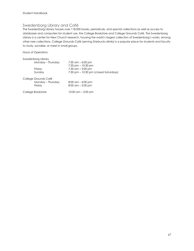## <span id="page-66-0"></span>Swedenborg Library and Café

The Swedenborg Library houses over 118,000 books, periodicals, and special collections as well as access to databases and computers for student use, the College Bookstore and College Grounds Café. The Swedenborg Library is a center for New Church research, housing the world's largest collection of Swedenborg's works, among other rare collections. College Grounds Café (serving Starbucks drinks) is a popular place for students and faculty to study, socialize, or meet in small groups.

Hours of Operation:

| Swedenborg Library   |                                       |
|----------------------|---------------------------------------|
| Monday - Thursday    | $7:30$ am $-6:00$ pm                  |
|                      | $7:30$ pm $-10:30$ pm                 |
| Friday               | $7:30$ am $-5:00$ pm                  |
| Sunday               | 7:30 pm – 10:30 pm (closed Saturdays) |
| College Grounds Café |                                       |
| Monday - Thursday    | $8:00$ am $-$ 4:00 pm;                |
| Friday               | $8:00$ am $-2:00$ pm                  |
| College Bookstore    | 10:00 am - 2:00 pm                    |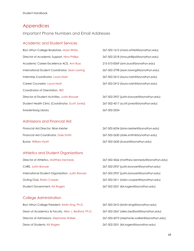## <span id="page-67-0"></span>Appendices

## <span id="page-67-1"></span>Important Phone Numbers and Email Addresses

#### <span id="page-67-2"></span>Academic and Student Services

Bryn Athyn College Bookstore, Mara White 267-502-1612 (mara.white@brynathyn.edu) Director of Academic Support, Nina Phillips 267-502-2518 (nina.phillips@brynathyn.edu) Academic Career Excellence ACE, Ann Buss 215-510-0069 (ann.buss@brynathyn.edu) International Student Coordinator, Sean Lawing 267-502-2798 (sean.lawing@brynathyn.edu) Internship Coordinator, Laura Nash 267-502-2412 (laura.nash@brynathyn.edu) Career Counselor, Laura Nash 267-502-2412 (laura.nash@brynathyn.edu) Coordinator of Orientation, TBD Director of Student Activities, Justin Bowyer 267-502-2957 (justin.bowyer@brynathyn.edu) Student Health Clinic (Coordinator, Scott Jones) 267-502-4517 (scott.jones@brynathyn.edu) Swedenborg Library 267-502-2524

#### Admissions and Financial Aid

Financial Aid Director, Brian Keister 267-502-6034 [\(brian.keister@brynathyn.edu\)](mailto:brian.keister@brynathyn.edu) Financial Aid Coordinator, Dale Smith 267-502-2630 (dale.smith@brynathyn.edu) Bursar, William Hyatt 267-502-2630 (bursar@brynathyn.edu)

#### Athletics and Student Organizations

CARE, Justin Bowyer 267-502-2957 (justin.bowyer@brynathyn.edu) International Student Organization, Justin Bowyer 267-502-2957 (justin.bowyer@brynathyn.edu) Outing Club, Robin Cooper 267-502-2411 (robin.cooper@brynathyn.edu) Student Government, Kiri Rogers 267-502-2551 (kiri.rogers@brynathyn.edu)

#### College Administration

Bryn Athyn College President, Kristin King, Ph.D. 267-502-2410 (kristin.king@brynathyn.edu) Dean of Academics & Faculty, Allen J. Bedford, Ph.D. 267-502-2567 (allen.bedford@brynathyn.edu) Director of Admissions, Stephanie Walker 267-502-6073 (stephanie.walker@brynathyn.edu) Dean of Students, Kiri Rogers 267-502-2551 (kiri.rogers@brynathyn.edu)

Director of Athletics, Matthew Kennedy 267-502-4566 (matthew.kennedy@brynathyn.edu)